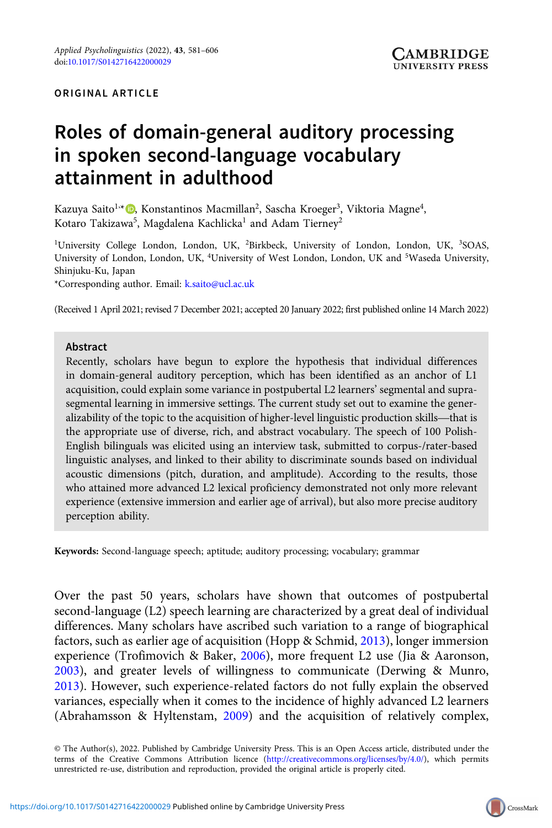#### ORIGINAL ARTICLE

# Roles of domain-general auditory processing in spoken second-language vocabulary attainment in adulthood

Kazuya Saito<sup>1,</sup>\* (D), Konstantinos Macmillan<sup>2</sup>, Sascha Kroeger<sup>3</sup>, Viktoria Magne<sup>4</sup>, Kotaro Takizawa $^5$ , Magdalena Kachlicka $^1$  and Adam Tierney $^2$ 

<sup>1</sup>University College London, London, UK, <sup>2</sup>Birkbeck, University of London, London, UK, <sup>3</sup>SOAS, University of London, London, UK, <sup>4</sup>University of West London, London, UK and <sup>5</sup>Waseda University, Shinjuku-Ku, Japan

\*Corresponding author. Email: [k.saito@ucl.ac.uk](mailto:k.saito@ucl.ac.uk)

(Received 1 April 2021; revised 7 December 2021; accepted 20 January 2022; first published online 14 March 2022)

#### Abstract

Recently, scholars have begun to explore the hypothesis that individual differences in domain-general auditory perception, which has been identified as an anchor of L1 acquisition, could explain some variance in postpubertal L2 learners' segmental and supra-segmental learning in immersive settings. The cu acquisition, could explain some variance in postpubertal L2 learners' segmental and suprasegmental learning in immersive settings. The current study set out to examine the generthe appropriate use of diverse, rich, and abstract vocabulary. The speech of 100 Polish-English bilinguals was elicited using an interview task, submitted to corpus-/rater-based linguistic analyses, and linked to their ability to discriminate sounds based on individual acoustic dimensions (pitch, duration, and amplitude). According to the results, those who attained more advanced L2 lexical proficiency demonstrated not only more relevant experience (extensive immersion and earlier age of arrival), but also more precise auditory perception ability.

Keywords: Second-language speech; aptitude; auditory processing; vocabulary; grammar

Over the past 50 years, scholars have shown that outcomes of postpubertal second-language (L2) speech learning are characterized by a great deal of individual differences. Many scholars have ascribed such variation to a range of biographical factors, such as earlier age of acquisition (Hopp & Schmid, [2013\)](#page-22-0), longer immersion experience (Trofimovich & Baker, [2006\)](#page-24-0), more frequent L2 use (Jia & Aaronson, [2003](#page-22-0)), and greater levels of willingness to communicate (Derwing & Munro, [2013](#page-21-0)). However, such experience-related factors do not fully explain the observed variances, especially when it comes to the incidence of highly advanced L2 learners (Abrahamsson & Hyltenstam, [2009](#page-20-0)) and the acquisition of relatively complex,

© The Author(s), 2022. Published by Cambridge University Press. This is an Open Access article, distributed under the terms of the Creative Commons Attribution licence ([http://creativecommons.org/licenses/by/4.0/\)](http://creativecommons.org/licenses/by/4.0/), which permits unrestricted re-use, distribution and reproduction, provided the original article is properly cited.

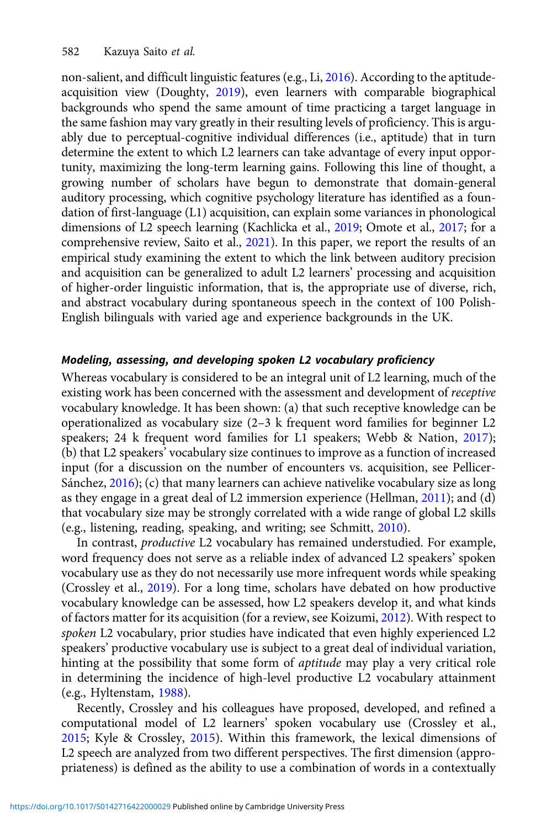non-salient, and difficult linguistic features (e.g., Li, [2016](#page-23-0)). According to the aptitudeacquisition view (Doughty, [2019](#page-21-0)), even learners with comparable biographical backgrounds who spend the same amount of time practicing a target language in the same fashion may vary greatly in their resulting levels of proficiency. This is arguably due to perceptual-cognitive individual differences (i.e., aptitude) that in turn determine the extent to which L2 learners can take advantage of every input opportunity, maximizing the long-term learning gains. Following this line of thought, a growing number of scholars have begun to demonstrate that domain-general auditory processing, which cognitive psychology literature has identified as a foundation of first-language (L1) acquisition, can explain some variances in phonological dimensions of L2 speech learning (Kachlicka et al., [2019](#page-22-0); Omote et al., [2017;](#page-23-0) for a comprehensive review, Saito et al., [2021\)](#page-24-0). In this paper, we report the results of an empirical study examining the extent to which the link between auditory precision and acquisition can be generalized to adult L2 learners' processing and acquisition of higher-order linguistic information, that is, the appropriate use of diverse, rich, and abstract vocabulary during spontaneous speech in the context of 100 Polish-English bilinguals with varied age and experience backgrounds in the UK.

# Modeling, assessing, and developing spoken L2 vocabulary proficiency

Whereas vocabulary is considered to be an integral unit of L2 learning, much of the existing work has been concerned with the assessment and development of receptive vocabulary knowledge. It has been shown: (a) that such receptive knowledge can be operationalized as vocabulary size (2–3 k frequent word families for beginner L2 speakers; 24 k frequent word families for L1 speakers; Webb & Nation, [2017](#page-24-0)); (b) that L2 speakers' vocabulary size continues to improve as a function of increased input (for a discussion on the number of encounters vs. acquisition, see Pellicer-Sánchez, [2016](#page-23-0)); (c) that many learners can achieve nativelike vocabulary size as long as they engage in a great deal of L2 immersion experience (Hellman, [2011](#page-22-0)); and (d) that vocabulary size may be strongly correlated with a wide range of global L2 skills (e.g., listening, reading, speaking, and writing; see Schmitt, [2010](#page-24-0)).

In contrast, productive L2 vocabulary has remained understudied. For example, word frequency does not serve as a reliable index of advanced L2 speakers' spoken vocabulary use as they do not necessarily use more infrequent words while speaking (Crossley et al., [2019\)](#page-21-0). For a long time, scholars have debated on how productive vocabulary knowledge can be assessed, how L2 speakers develop it, and what kinds of factors matter for its acquisition (for a review, see Koizumi, [2012\)](#page-22-0). With respect to spoken L2 vocabulary, prior studies have indicated that even highly experienced L2 speakers' productive vocabulary use is subject to a great deal of individual variation, hinting at the possibility that some form of *aptitude* may play a very critical role in determining the incidence of high-level productive L2 vocabulary attainment (e.g., Hyltenstam, [1988\)](#page-22-0).

Recently, Crossley and his colleagues have proposed, developed, and refined a computational model of L2 learners' spoken vocabulary use (Crossley et al., [2015;](#page-20-0) Kyle & Crossley, [2015\)](#page-22-0). Within this framework, the lexical dimensions of L2 speech are analyzed from two different perspectives. The first dimension (appropriateness) is defined as the ability to use a combination of words in a contextually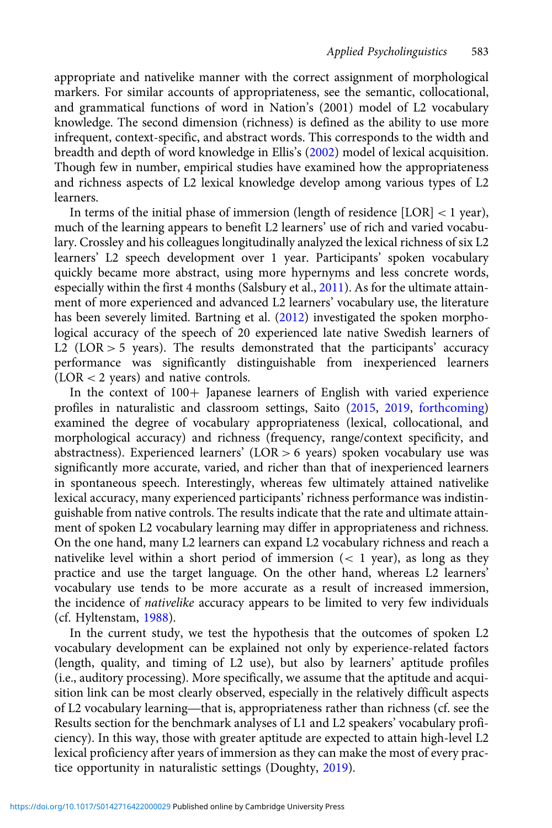appropriate and nativelike manner with the correct assignment of morphological markers. For similar accounts of appropriateness, see the semantic, collocational, and grammatical functions of word in Nation's (2001) model of L2 vocabulary knowledge. The second dimension (richness) is defined as the ability to use more infrequent, context-specific, and abstract words. This corresponds to the width and breadth and depth of word knowledge in Ellis's [\(2002\)](#page-21-0) model of lexical acquisition. Though few in number, empirical studies have examined how the appropriateness and richness aspects of L2 lexical knowledge develop among various types of L2 learners.

In terms of the initial phase of immersion (length of residence [LOR] < 1 year), much of the learning appears to benefit L2 learners' use of rich and varied vocabulary. Crossley and his colleagues longitudinally analyzed the lexical richness of six L2 learners' L2 speech development over 1 year. Participants' spoken vocabulary quickly became more abstract, using more hypernyms and less concrete words, especially within the first 4 months (Salsbury et al., [2011](#page-24-0)). As for the ultimate attainment of more experienced and advanced L2 learners' vocabulary use, the literature has been severely limited. Bartning et al. ([2012](#page-20-0)) investigated the spoken morphological accuracy of the speech of 20 experienced late native Swedish learners of L2 (LOR  $>$  5 years). The results demonstrated that the participants' accuracy performance was significantly distinguishable from inexperienced learners (LOR < 2 years) and native controls.

In the context of  $100+$  Japanese learners of English with varied experience profiles in naturalistic and classroom settings, Saito [\(2015](#page-23-0), [2019,](#page-23-0) [forthcoming\)](#page-23-0) examined the degree of vocabulary appropriateness (lexical, collocational, and morphological accuracy) and richness (frequency, range/context specificity, and abstractness). Experienced learners' (LOR > 6 years) spoken vocabulary use was significantly more accurate, varied, and richer than that of inexperienced learners in spontaneous speech. Interestingly, whereas few ultimately attained nativelike lexical accuracy, many experienced participants' richness performance was indistinguishable from native controls. The results indicate that the rate and ultimate attainment of spoken L2 vocabulary learning may differ in appropriateness and richness. On the one hand, many L2 learners can expand L2 vocabulary richness and reach a nativelike level within a short period of immersion  $(< 1$  year), as long as they practice and use the target language. On the other hand, whereas L2 learners' vocabulary use tends to be more accurate as a result of increased immersion, the incidence of nativelike accuracy appears to be limited to very few individuals (cf. Hyltenstam, [1988\)](#page-22-0).

In the current study, we test the hypothesis that the outcomes of spoken L2 vocabulary development can be explained not only by experience-related factors (length, quality, and timing of L2 use), but also by learners' aptitude profiles (i.e., auditory processing). More specifically, we assume that the aptitude and acquisition link can be most clearly observed, especially in the relatively difficult aspects vocabulary development can be explained not only by experience-related factors<br>(length, quality, and timing of L2 use), but also by learners' aptitude profiles<br>(i.e., auditory processing). More specifically, we assume that Results section for the benchmark analyses of L1 and L2 speakers' vocabulary proficiency). In this way, those with greater aptitude are expected to attain high-level L2 lexical proficiency after years of immersion as they can make the most of every practice opportunity in naturalistic settings (Doughty, [2019](#page-21-0)).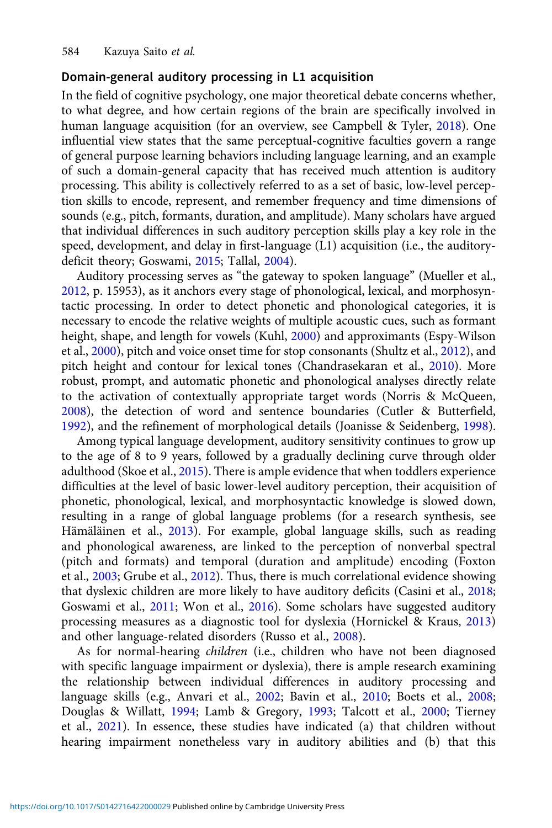# Domain-general auditory processing in L1 acquisition

In the field of cognitive psychology, one major theoretical debate concerns whether, to what degree, and how certain regions of the brain are specifically involved in human language acquisition (for an overview, see Campbell & Tyler, [2018](#page-20-0)). One influential view states that the same perceptual-cognitive faculties govern a range of general purpose learning behaviors including language learning, and an example of such a domain-general capacity that has received much attention is auditory processing. This ability is collectively referred to as a set of basic, low-level perception skills to encode, represent, and remember frequency and time dimensions of sounds (e.g., pitch, formants, duration, and amplitude). Many scholars have argued that individual differences in such auditory perception skills play a key role in the speed, development, and delay in first-language (L1) acquisition (i.e., the auditorydeficit theory; Goswami, [2015;](#page-21-0) Tallal, [2004](#page-24-0)).

Auditory processing serves as "the gateway to spoken language" (Mueller et al., [2012,](#page-23-0) p. 15953), as it anchors every stage of phonological, lexical, and morphosyntactic processing. In order to detect phonetic and phonological categories, it is necessary to encode the relative weights of multiple acoustic cues, such as formant height, shape, and length for vowels (Kuhl, [2000](#page-22-0)) and approximants (Espy-Wilson et al., [2000](#page-21-0)), pitch and voice onset time for stop consonants (Shultz et al., [2012\)](#page-24-0), and pitch height and contour for lexical tones (Chandrasekaran et al., [2010\)](#page-20-0). More robust, prompt, and automatic phonetic and phonological analyses directly relate to the activation of contextually appropriate target words (Norris & McQueen, [2008\)](#page-23-0), the detection of word and sentence boundaries (Cutler & Butterfield, [1992\)](#page-21-0), and the refinement of morphological details (Joanisse & Seidenberg, [1998](#page-22-0)).

Among typical language development, auditory sensitivity continues to grow up to the age of 8 to 9 years, followed by a gradually declining curve through older adulthood (Skoe et al., [2015\)](#page-24-0). There is ample evidence that when toddlers experience difficulties at the level of basic lower-level auditory perception, their acquisition of phonetic, phonological, lexical, and morphosyntactic knowledge is slowed down, resulting in a range of global language problems (for a research synthesis, see Hämäläinen et al., [2013](#page-22-0)). For example, global language skills, such as reading and phonological awareness, are linked to the perception of nonverbal spectral (pitch and formats) and temporal (duration and amplitude) encoding (Foxton et al., [2003;](#page-21-0) Grube et al., [2012\)](#page-21-0). Thus, there is much correlational evidence showing that dyslexic children are more likely to have auditory deficits (Casini et al., [2018;](#page-20-0) Goswami et al., [2011;](#page-21-0) Won et al., [2016](#page-25-0)). Some scholars have suggested auditory processing measures as a diagnostic tool for dyslexia (Hornickel & Kraus, [2013](#page-22-0)) and other language-related disorders (Russo et al., [2008](#page-23-0)).

As for normal-hearing children (i.e., children who have not been diagnosed with specific language impairment or dyslexia), there is ample research examining the relationship between individual differences in auditory processing and language skills (e.g., Anvari et al., [2002;](#page-20-0) Bavin et al., [2010](#page-20-0); Boets et al., [2008;](#page-20-0) Douglas & Willatt, [1994](#page-21-0); Lamb & Gregory, [1993;](#page-23-0) Talcott et al., [2000](#page-24-0); Tierney et al., [2021\)](#page-24-0). In essence, these studies have indicated (a) that children without hearing impairment nonetheless vary in auditory abilities and (b) that this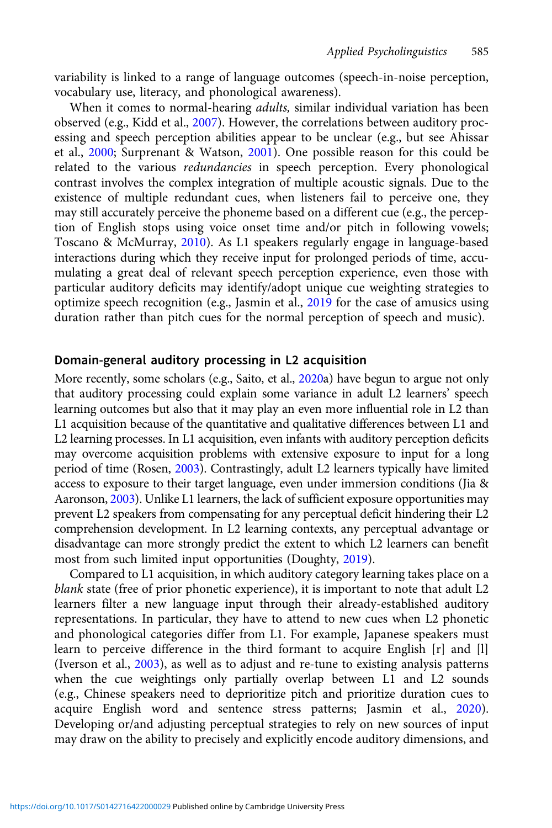variability is linked to a range of language outcomes (speech-in-noise perception, vocabulary use, literacy, and phonological awareness).

When it comes to normal-hearing *adults*, similar individual variation has been observed (e.g., Kidd et al., [2007](#page-22-0)). However, the correlations between auditory processing and speech perception abilities appear to be unclear (e.g., but see Ahissar et al., [2000;](#page-20-0) Surprenant & Watson, [2001\)](#page-24-0). One possible reason for this could be related to the various redundancies in speech perception. Every phonological contrast involves the complex integration of multiple acoustic signals. Due to the existence of multiple redundant cues, when listeners fail to perceive one, they may still accurately perceive the phoneme based on a different cue (e.g., the perception of English stops using voice onset time and/or pitch in following vowels; Toscano & McMurray, [2010](#page-24-0)). As L1 speakers regularly engage in language-based interactions during which they receive input for prolonged periods of time, accumulating a great deal of relevant speech perception experience, even those with particular auditory deficits may identify/adopt unique cue weighting strategies to optimize speech recognition (e.g., Jasmin et al., [2019](#page-22-0) for the case of amusics using duration rather than pitch cues for the normal perception of speech and music).

# Domain-general auditory processing in L2 acquisition

More recently, some scholars (e.g., Saito, et al., [2020a](#page-24-0)) have begun to argue not only that auditory processing could explain some variance in adult L2 learners' speech learning outcomes but also that it may play an even more influential role in L2 than L1 acquisition because of the quantitative and qualitative differences between L1 and L2 learning processes. In L1 acquisition, even infants with auditory perception deficits may overcome acquisition problems with extensive exposure to input for a long period of time (Rosen, [2003](#page-23-0)). Contrastingly, adult L2 learners typically have limited access to exposure to their target language, even under immersion conditions (Jia & Aaronson, [2003\)](#page-22-0). Unlike L1 learners, the lack of sufficient exposure opportunities may prevent L2 speakers from compensating for any perceptual deficit hindering their L2 comprehension development. In L2 learning contexts, any perceptual advantage or disadvantage can more strongly predict the extent to which L2 learners can benefit most from such limited input opportunities (Doughty, [2019\)](#page-21-0).

Compared to L1 acquisition, in which auditory category learning takes place on a blank state (free of prior phonetic experience), it is important to note that adult L2 learners filter a new language input through their already-established auditory representations. In particular, they have to attend to new cues when L2 phonetic and phonological categories differ from L1. For example, Japanese speakers must learn to perceive difference in the third formant to acquire English [r] and [l] (Iverson et al., [2003\)](#page-22-0), as well as to adjust and re-tune to existing analysis patterns when the cue weightings only partially overlap between L1 and L2 sounds (e.g., Chinese speakers need to deprioritize pitch and prioritize duration cues to acquire English word and sentence stress patterns; Jasmin et al., [2020\)](#page-22-0). Developing or/and adjusting perceptual strategies to rely on new sources of input may draw on the ability to precisely and explicitly encode auditory dimensions, and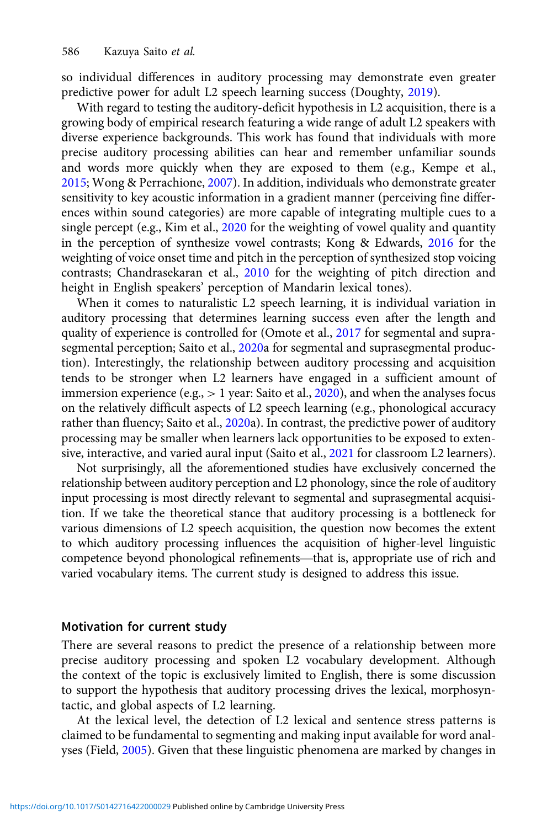so individual differences in auditory processing may demonstrate even greater predictive power for adult L2 speech learning success (Doughty, [2019\)](#page-21-0).

With regard to testing the auditory-deficit hypothesis in L2 acquisition, there is a growing body of empirical research featuring a wide range of adult L2 speakers with diverse experience backgrounds. This work has found that individuals with more precise auditory processing abilities can hear and remember unfamiliar sounds and words more quickly when they are exposed to them (e.g., Kempe et al., [2015;](#page-22-0) Wong & Perrachione, [2007](#page-25-0)). In addition, individuals who demonstrate greater sensitivity to key acoustic information in a gradient manner (perceiving fine differences within sound categories) are more capable of integrating multiple cues to a single percept (e.g., Kim et al., [2020](#page-22-0) for the weighting of vowel quality and quantity in the perception of synthesize vowel contrasts; Kong & Edwards, [2016](#page-22-0) for the weighting of voice onset time and pitch in the perception of synthesized stop voicing contrasts; Chandrasekaran et al., [2010](#page-20-0) for the weighting of pitch direction and height in English speakers' perception of Mandarin lexical tones).

When it comes to naturalistic L2 speech learning, it is individual variation in auditory processing that determines learning success even after the length and quality of experience is controlled for (Omote et al., [2017](#page-23-0) for segmental and supra-segmental perception; Saito et al., [2020](#page-24-0)a for segmental and suprasegmental production). Interestingly, the relationship between auditory processing and acquisition tends to be stronger when L2 learners have engaged in a sufficient amount of immersion experience (e.g.,  $> 1$  year: Saito et al., [2020\)](#page-24-0), and when the analyses focus on the relatively difficult aspects of L2 speech learning (e.g., phonological accuracy rather than fluency; Saito et al., [2020a](#page-24-0)). In contrast, the predictive power of auditory processing may be smaller when learners lack opportunities to be exposed to extensive, interactive, and varied aural input (Saito et al., [2021](#page-24-0) for classroom L2 learners).

Not surprisingly, all the aforementioned studies have exclusively concerned the relationship between auditory perception and L2 phonology, since the role of auditory input processing is most directly relevant to segmental and suprasegmental acquisition. If we take the theoretical stance that auditory processing is a bottleneck for various dimensions of L2 speech acquisition, the question now becomes the extent to which auditory processing influences the acquisition of higher-level linguistic input processing is most airectly relevant to segmental and suprasegmental acquisi-<br>tion. If we take the theoretical stance that auditory processing is a bottleneck for<br>various dimensions of L2 speech acquisition, the ques varied vocabulary items. The current study is designed to address this issue.

# Motivation for current study

There are several reasons to predict the presence of a relationship between more precise auditory processing and spoken L2 vocabulary development. Although the context of the topic is exclusively limited to English, there is some discussion to support the hypothesis that auditory processing drives the lexical, morphosyntactic, and global aspects of L2 learning.

At the lexical level, the detection of L2 lexical and sentence stress patterns is claimed to be fundamental to segmenting and making input available for word analyses (Field, [2005](#page-21-0)). Given that these linguistic phenomena are marked by changes in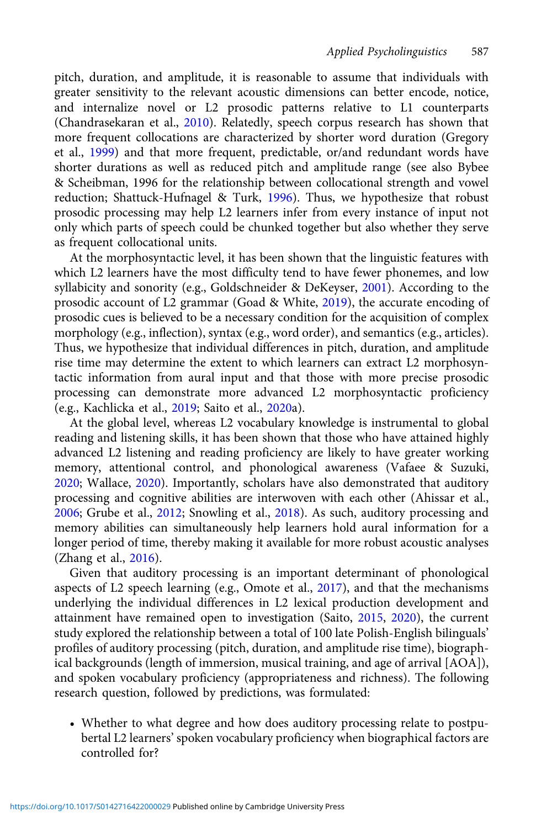pitch, duration, and amplitude, it is reasonable to assume that individuals with greater sensitivity to the relevant acoustic dimensions can better encode, notice, and internalize novel or L2 prosodic patterns relative to L1 counterparts (Chandrasekaran et al., [2010\)](#page-20-0). Relatedly, speech corpus research has shown that more frequent collocations are characterized by shorter word duration (Gregory et al., [1999\)](#page-21-0) and that more frequent, predictable, or/and redundant words have shorter durations as well as reduced pitch and amplitude range (see also Bybee & Scheibman, 1996 for the relationship between collocational strength and vowel reduction; Shattuck-Hufnagel & Turk, [1996\)](#page-24-0). Thus, we hypothesize that robust prosodic processing may help L2 learners infer from every instance of input not only which parts of speech could be chunked together but also whether they serve as frequent collocational units.

At the morphosyntactic level, it has been shown that the linguistic features with which L2 learners have the most difficulty tend to have fewer phonemes, and low syllabicity and sonority (e.g., Goldschneider & DeKeyser, [2001\)](#page-21-0). According to the prosodic account of L2 grammar (Goad & White, [2019\)](#page-21-0), the accurate encoding of prosodic cues is believed to be a necessary condition for the acquisition of complex morphology (e.g., inflection), syntax (e.g., word order), and semantics (e.g., articles). Thus, we hypothesize that individual differences in pitch, duration, and amplitude rise time may determine the extent to which learners can extract L2 morphosyntactic information from aural input and that those with more precise prosodic processing can demonstrate more advanced L2 morphosyntactic proficiency (e.g., Kachlicka et al., [2019;](#page-22-0) Saito et al., [2020](#page-24-0)a).

At the global level, whereas L2 vocabulary knowledge is instrumental to global reading and listening skills, it has been shown that those who have attained highly advanced L2 listening and reading proficiency are likely to have greater working memory, attentional control, and phonological awareness (Vafaee & Suzuki, [2020](#page-24-0); Wallace, [2020\)](#page-24-0). Importantly, scholars have also demonstrated that auditory processing and cognitive abilities are interwoven with each other (Ahissar et al., [2006](#page-20-0); Grube et al., [2012](#page-21-0); Snowling et al., [2018\)](#page-24-0). As such, auditory processing and memory abilities can simultaneously help learners hold aural information for a longer period of time, thereby making it available for more robust acoustic analyses (Zhang et al., [2016](#page-25-0)).

Given that auditory processing is an important determinant of phonological aspects of L2 speech learning (e.g., Omote et al., [2017\)](#page-23-0), and that the mechanisms underlying the individual differences in L2 lexical production development and attainment have remained open to investigation (Saito, [2015,](#page-23-0) [2020\)](#page-23-0), the current study explored the relationship between a total of 100 late Polish-English bilinguals' profiles of auditory processing (pitch, duration, and amplitude rise time), biographical backgrounds (length of immersion, musical training, and age of arrival [AOA]), and spoken vocabulary proficiency (appropriateness and richness). The following research question, followed by predictions, was formulated:

• Whether to what degree and how does auditory processing relate to postpubertal L2 learners' spoken vocabulary proficiency when biographical factors are controlled for?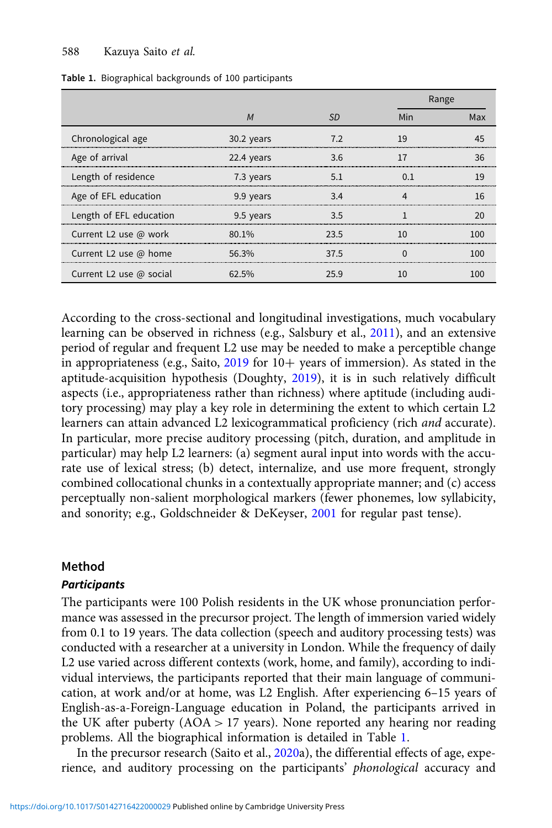|                                |            |      |     | Range |  |  |
|--------------------------------|------------|------|-----|-------|--|--|
|                                | M          | .SD  | Min | Max   |  |  |
| Chronological age              | 30.2 years |      | 19  |       |  |  |
| Age of arrival                 | 22.4 years | 3.6  |     |       |  |  |
| Length of residence            | 7.3 years  |      |     |       |  |  |
| Age of EFL education           | 9.9 years  | 3.4  |     |       |  |  |
| Length of EFL education        | 9.5 years  | マ ち  |     |       |  |  |
| Current L2 use @ work          | $80.1\%$   | 23.5 |     |       |  |  |
| Current L2 use @ home          | 56.3%      | 37.5 |     |       |  |  |
| Current L2 use $\omega$ social | 62.5%      |      |     |       |  |  |

Table 1. Biographical backgrounds of 100 participants

According to the cross-sectional and longitudinal investigations, much vocabulary learning can be observed in richness (e.g., Salsbury et al., [2011](#page-24-0)), and an extensive period of regular and frequent L2 use may be needed to make a perceptible change in appropriateness (e.g., Saito,  $2019$  for  $10+$  years of immersion). As stated in the aptitude-acquisition hypothesis (Doughty, [2019](#page-21-0)), it is in such relatively difficult aspects (i.e., appropriateness rather than richness) where aptitude (including auditory processing) may play a key role in determining the extent to which certain L2 learners can attain advanced L2 lexicogrammatical proficiency (rich and accurate). In particular, more precise auditory processing (pitch, duration, and amplitude in particular) may help L2 learners: (a) segment aural input into words with the accurate use of lexical stress; (b) detect, internalize, and use more frequent, strongly combined collocational chunks in a contextually appropriate manner; and (c) access perceptually non-salient morphological markers (fewer phonemes, low syllabicity, and sonority; e.g., Goldschneider & DeKeyser, [2001](#page-21-0) for regular past tense).

# Method

## **Participants**

The participants were 100 Polish residents in the UK whose pronunciation performance was assessed in the precursor project. The length of immersion varied widely from 0.1 to 19 years. The data collection (speech and auditory processing tests) was conducted with a researcher at a university in London. While the frequency of daily L2 use varied across different contexts (work, home, and family), according to individual interviews, the participants reported that their main language of communication, at work and/or at home, was L2 English. After experiencing 6–15 years of English-as-a-Foreign-Language education in Poland, the participants arrived in the UK after puberty (AOA > 17 years). None reported any hearing nor reading problems. All the biographical information is detailed in Table 1.

In the precursor research (Saito et al., [2020](#page-24-0)a), the differential effects of age, experience, and auditory processing on the participants' phonological accuracy and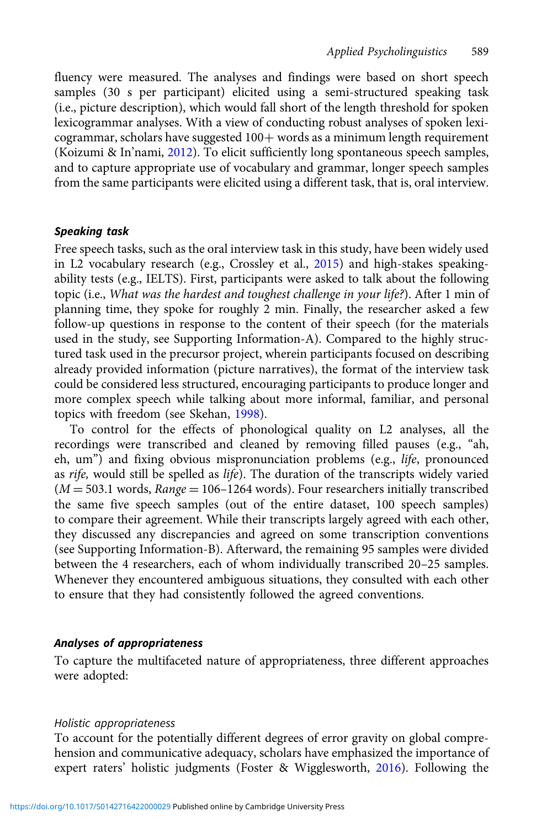fluency were measured. The analyses and findings were based on short speech samples (30 s per participant) elicited using a semi-structured speaking task (i.e., picture description), which would fall short of the length threshold for spoken lexicogrammar analyses. With a view of conducting robust analyses of spoken lexi $c$ ogrammar, scholars have suggested  $100+$  words as a minimum length requirement (Koizumi & In'nami, [2012\)](#page-22-0). To elicit sufficiently long spontaneous speech samples, and to capture appropriate use of vocabulary and grammar, longer speech samples from the same participants were elicited using a different task, that is, oral interview.

## Speaking task

Free speech tasks, such as the oral interview task in this study, have been widely used in L2 vocabulary research (e.g., Crossley et al., [2015](#page-20-0)) and high-stakes speakingability tests (e.g., IELTS). First, participants were asked to talk about the following topic (i.e., What was the hardest and toughest challenge in your life?). After 1 min of planning time, they spoke for roughly 2 min. Finally, the researcher asked a few follow-up questions in response to the content of their speech (for the materials used in the study, see Supporting Information-A). Compared to the highly structured task used in the precursor project, wherein participants focused on describing already provided information (picture narratives), the format of the interview task could be considered less structured, encouraging participants to produce longer and more complex speech while talking about more informal, familiar, and personal topics with freedom (see Skehan, [1998](#page-24-0)).

To control for the effects of phonological quality on L2 analyses, all the recordings were transcribed and cleaned by removing filled pauses (e.g., "ah, eh, um") and fixing obvious mispronunciation problems (e.g., life, pronounced as rife, would still be spelled as life). The duration of the transcripts widely varied  $(M = 503.1$  words,  $Range = 106 - 1264$  words). Four researchers initially transcribed the same five speech samples (out of the entire dataset, 100 speech samples) to compare their agreement. While their transcripts largely agreed with each other, they discussed any discrepancies and agreed on some transcription conventions (see Supporting Information-B). Afterward, the remaining 95 samples were divided between the 4 researchers, each of whom individually transcribed 20–25 samples. Whenever they encountered ambiguous situations, they consulted with each other to ensure that they had consistently followed the agreed conventions.

## Analyses of appropriateness

To capture the multifaceted nature of appropriateness, three different approaches were adopted:

#### Holistic appropriateness

To account for the potentially different degrees of error gravity on global comprehension and communicative adequacy, scholars have emphasized the importance of expert raters' holistic judgments (Foster & Wigglesworth, [2016\)](#page-21-0). Following the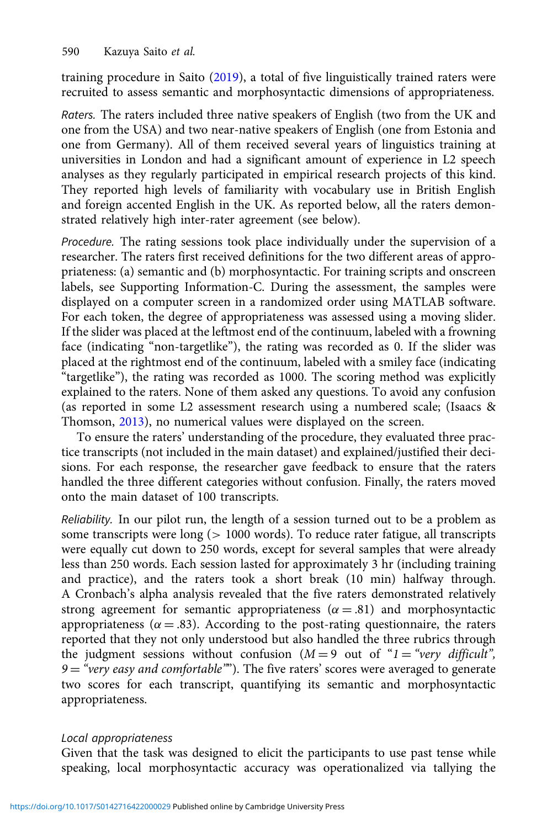training procedure in Saito [\(2019\)](#page-23-0), a total of five linguistically trained raters were recruited to assess semantic and morphosyntactic dimensions of appropriateness.

Raters. The raters included three native speakers of English (two from the UK and one from the USA) and two near-native speakers of English (one from Estonia and one from Germany). All of them received several years of linguistics training at universities in London and had a significant amount of experience in L2 speech analyses as they regularly participated in empirical research projects of this kind. They reported high levels of familiarity with vocabulary use in British English and foreign accented English in the UK. As reported below, all the raters demonstrated relatively high inter-rater agreement (see below).

Procedure. The rating sessions took place individually under the supervision of a researcher. The raters first received definitions for the two different areas of appropriateness: (a) semantic and (b) morphosyntactic. For training scripts and onscreen labels, see Supporting Information-C. During the assessment, the samples were displayed on a computer screen in a randomized order using MATLAB software. For each token, the degree of appropriateness was assessed using a moving slider. If the slider was placed at the leftmost end of the continuum, labeled with a frowning face (indicating "non-targetlike"), the rating was recorded as 0. If the slider was placed at the rightmost end of the continuum, labeled with a smiley face (indicating "targetlike"), the rating was recorded as 1000. The scoring method was explicitly explained to the raters. None of them asked any questions. To avoid any confusion (as reported in some L2 assessment research using a numbered scale; (Isaacs & Thomson, [2013\)](#page-22-0), no numerical values were displayed on the screen.

To ensure the raters' understanding of the procedure, they evaluated three practice transcripts (not included in the main dataset) and explained/justified their decisions. For each response, the researcher gave feedback to ensure that the raters handled the three different categories without confusion. Finally, the raters moved onto the main dataset of 100 transcripts.

Reliability. In our pilot run, the length of a session turned out to be a problem as some transcripts were long (> 1000 words). To reduce rater fatigue, all transcripts were equally cut down to 250 words, except for several samples that were already less than 250 words. Each session lasted for approximately 3 hr (including training and practice), and the raters took a short break (10 min) halfway through. A Cronbach's alpha analysis revealed that the five raters demonstrated relatively strong agreement for semantic appropriateness ( $\alpha = .81$ ) and morphosyntactic appropriateness ( $\alpha = .83$ ). According to the post-rating questionnaire, the raters reported that they not only understood but also handled the three rubrics through the judgment sessions without confusion  $(M = 9$  out of " $1 =$  "very difficult",  $9 =$  "very easy and comfortable""). The five raters' scores were averaged to generate two scores for each transcript, quantifying its semantic and morphosyntactic appropriateness.

## Local appropriateness

Given that the task was designed to elicit the participants to use past tense while speaking, local morphosyntactic accuracy was operationalized via tallying the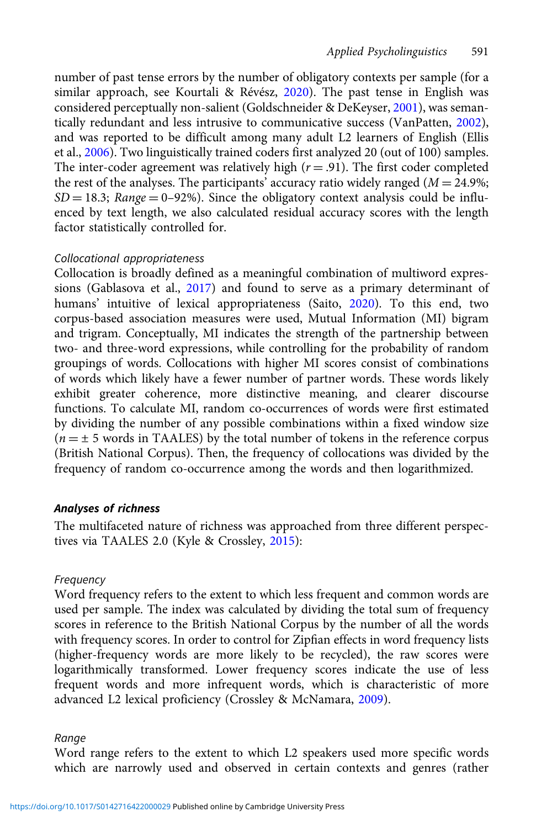number of past tense errors by the number of obligatory contexts per sample (for a similar approach, see Kourtali & Révész, [2020\)](#page-22-0). The past tense in English was considered perceptually non-salient (Goldschneider & DeKeyser, [2001](#page-21-0)), was semantically redundant and less intrusive to communicative success (VanPatten, [2002\)](#page-24-0), and was reported to be difficult among many adult L2 learners of English (Ellis et al., [2006\)](#page-21-0). Two linguistically trained coders first analyzed 20 (out of 100) samples. The inter-coder agreement was relatively high  $(r = .91)$ . The first coder completed the rest of the analyses. The participants' accuracy ratio widely ranged ( $M = 24.9\%$ ;  $SD = 18.3$ ; Range = 0–92%). Since the obligatory context analysis could be influenced by text length, we also calculated residual accuracy scores with the length factor statistically controlled for.

## Collocational appropriateness

Collocation is broadly defined as a meaningful combination of multiword expres-sions (Gablasova et al., [2017](#page-21-0)) and found to serve as a primary determinant of humans' intuitive of lexical appropriateness (Saito, [2020](#page-23-0)). To this end, two corpus-based association measures were used, Mutual Information (MI) bigram and trigram. Conceptually, MI indicates the strength of the partnership between two- and three-word expressions, while controlling for the probability of random groupings of words. Collocations with higher MI scores consist of combinations of words which likely have a fewer number of partner words. These words likely exhibit greater coherence, more distinctive meaning, and clearer discourse functions. To calculate MI, random co-occurrences of words were first estimated by dividing the number of any possible combinations within a fixed window size  $(n = \pm 5$  words in TAALES) by the total number of tokens in the reference corpus (British National Corpus). Then, the frequency of collocations was divided by the frequency of random co-occurrence among the words and then logarithmized.

# Analyses of richness

The multifaceted nature of richness was approached from three different perspectives via TAALES 2.0 (Kyle & Crossley, [2015\)](#page-22-0):

# Frequency

Word frequency refers to the extent to which less frequent and common words are used per sample. The index was calculated by dividing the total sum of frequency scores in reference to the British National Corpus by the number of all the words with frequency scores. In order to control for Zipfian effects in word frequency lists (higher-frequency words are more likely to be recycled), the raw scores were logarithmically transformed. Lower frequency scores indicate the use of less frequent words and more infrequent words, which is characteristic of more advanced L2 lexical proficiency (Crossley & McNamara, [2009](#page-20-0)).

## Range

Word range refers to the extent to which L2 speakers used more specific words which are narrowly used and observed in certain contexts and genres (rather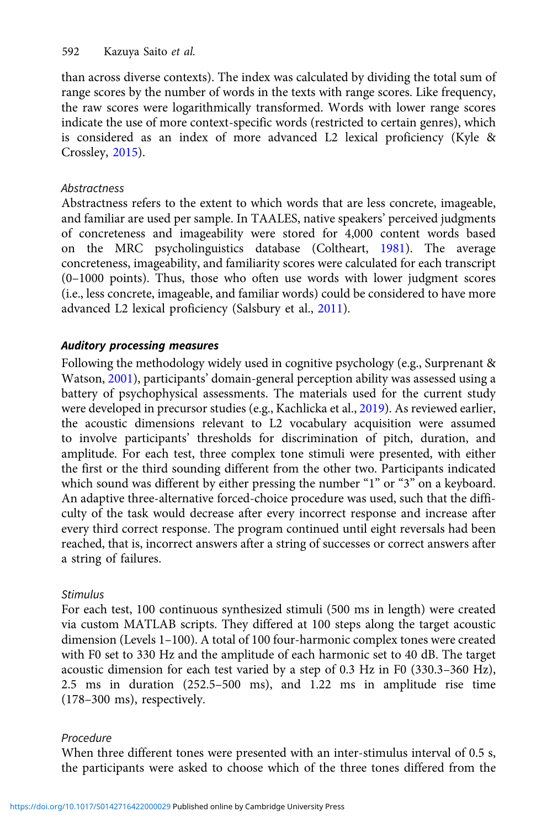than across diverse contexts). The index was calculated by dividing the total sum of range scores by the number of words in the texts with range scores. Like frequency, the raw scores were logarithmically transformed. Words with lower range scores indicate the use of more context-specific words (restricted to certain genres), which is considered as an index of more advanced L2 lexical proficiency (Kyle & Crossley, [2015\)](#page-22-0).

# **Abstractness**

Abstractness refers to the extent to which words that are less concrete, imageable, and familiar are used per sample. In TAALES, native speakers' perceived judgments of concreteness and imageability were stored for 4,000 content words based on the MRC psycholinguistics database (Coltheart, [1981](#page-20-0)). The average concreteness, imageability, and familiarity scores were calculated for each transcript (0–1000 points). Thus, those who often use words with lower judgment scores (i.e., less concrete, imageable, and familiar words) could be considered to have more advanced L2 lexical proficiency (Salsbury et al., [2011](#page-24-0)).

# Auditory processing measures

Following the methodology widely used in cognitive psychology (e.g., Surprenant & Watson, [2001](#page-24-0)), participants' domain-general perception ability was assessed using a battery of psychophysical assessments. The materials used for the current study were developed in precursor studies (e.g., Kachlicka et al., [2019\)](#page-22-0). As reviewed earlier, the acoustic dimensions relevant to L2 vocabulary acquisition were assumed to involve participants' thresholds for discrimination of pitch, duration, and amplitude. For each test, three complex tone stimuli were presented, with either the first or the third sounding different from the other two. Participants indicated which sound was different by either pressing the number "1" or "3" on a keyboard. An adaptive three-alternative forced-choice procedure was used, such that the difficulty of the task would decrease after every incorrect response and increase after every third correct response. The program continued until eight reversals had been reached, that is, incorrect answers after a string of successes or correct answers after a string of failures.

# Stimulus

For each test, 100 continuous synthesized stimuli (500 ms in length) were created via custom MATLAB scripts. They differed at 100 steps along the target acoustic dimension (Levels 1–100). A total of 100 four-harmonic complex tones were created with F0 set to 330 Hz and the amplitude of each harmonic set to 40 dB. The target acoustic dimension for each test varied by a step of 0.3 Hz in F0 (330.3–360 Hz), 2.5 ms in duration (252.5–500 ms), and 1.22 ms in amplitude rise time (178–300 ms), respectively.

# Procedure

When three different tones were presented with an inter-stimulus interval of 0.5 s, the participants were asked to choose which of the three tones differed from the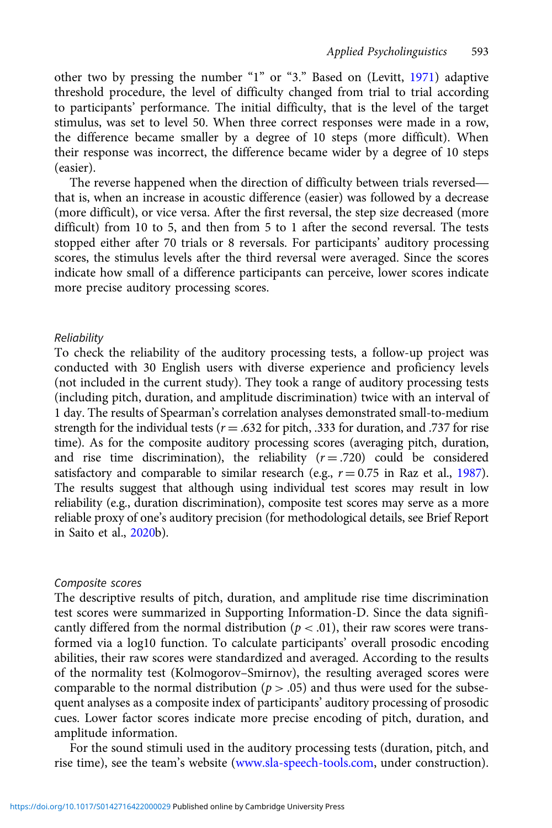other two by pressing the number "1" or "3." Based on (Levitt, [1971](#page-23-0)) adaptive threshold procedure, the level of difficulty changed from trial to trial according to participants' performance. The initial difficulty, that is the level of the target stimulus, was set to level 50. When three correct responses were made in a row, the difference became smaller by a degree of 10 steps (more difficult). When their response was incorrect, the difference became wider by a degree of 10 steps (easier). The reverse happened when the direction of difficulty between trials reversed—<br>The reverse happened when the direction of difficulty between trials reversed—<br>The reverse happened when the direction of difficulty between tr

that is, when an increase in acoustic difference (easier) was followed by a decrease (more difficult), or vice versa. After the first reversal, the step size decreased (more difficult) from 10 to 5, and then from 5 to 1 after the second reversal. The tests stopped either after 70 trials or 8 reversals. For participants' auditory processing scores, the stimulus levels after the third reversal were averaged. Since the scores indicate how small of a difference participants can perceive, lower scores indicate more precise auditory processing scores.

## Reliability

To check the reliability of the auditory processing tests, a follow-up project was conducted with 30 English users with diverse experience and proficiency levels (not included in the current study). They took a range of auditory processing tests (including pitch, duration, and amplitude discrimination) twice with an interval of 1 day. The results of Spearman's correlation analyses demonstrated small-to-medium strength for the individual tests ( $r = .632$  for pitch, .333 for duration, and .737 for rise time). As for the composite auditory processing scores (averaging pitch, duration, and rise time discrimination), the reliability  $(r = .720)$  could be considered satisfactory and comparable to similar research (e.g.,  $r = 0.75$  in Raz et al., [1987\)](#page-23-0). The results suggest that although using individual test scores may result in low reliability (e.g., duration discrimination), composite test scores may serve as a more reliable proxy of one's auditory precision (for methodological details, see Brief Report in Saito et al., [2020](#page-24-0)b).

## Composite scores

The descriptive results of pitch, duration, and amplitude rise time discrimination test scores were summarized in Supporting Information-D. Since the data significantly differed from the normal distribution ( $p < .01$ ), their raw scores were transformed via a log10 function. To calculate participants' overall prosodic encoding abilities, their raw scores were standardized and averaged. According to the results of the normality test (Kolmogorov–Smirnov), the resulting averaged scores were comparable to the normal distribution ( $p > .05$ ) and thus were used for the subsequent analyses as a composite index of participants' auditory processing of prosodic cues. Lower factor scores indicate more precise encoding of pitch, duration, and amplitude information.

For the sound stimuli used in the auditory processing tests (duration, pitch, and rise time), see the team's website [\(www.sla-speech-tools.com](http://www.sla-speech-tools.com), under construction).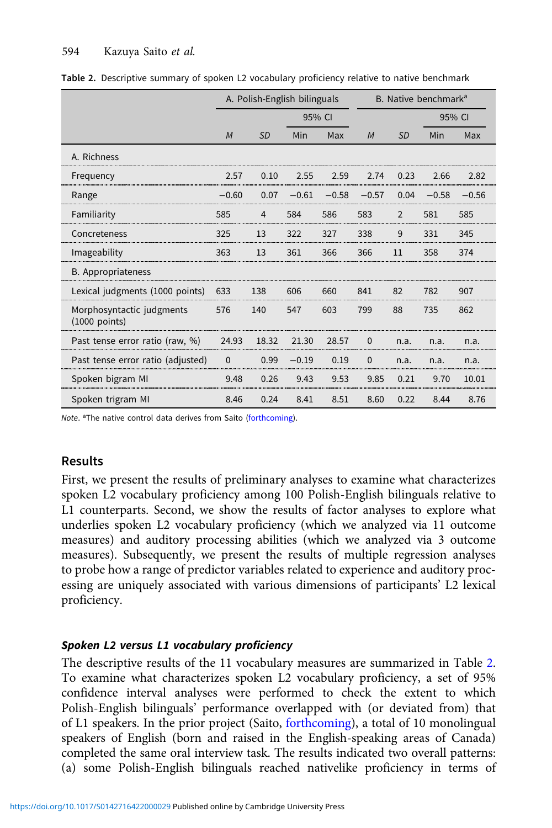|                                              | A. Polish-English bilinguals |           |         |         | B. Native benchmark <sup>a</sup> |                |         |         |
|----------------------------------------------|------------------------------|-----------|---------|---------|----------------------------------|----------------|---------|---------|
|                                              | 95% CI                       |           |         | 95% CI  |                                  |                |         |         |
|                                              | M                            | <b>SD</b> | Min     | Max     | M                                | <b>SD</b>      | Min     | Max     |
| A. Richness                                  |                              |           |         |         |                                  |                |         |         |
| Frequency                                    | 2.57                         | 0.10      | 2.55    | 2.59    | 2.74                             | 0.23           | 2.66    | 2.82    |
| Range                                        | $-0.60$                      | 0.07      | $-0.61$ | $-0.58$ | $-0.57$                          | 0.04           | $-0.58$ | $-0.56$ |
| Familiarity                                  | 585                          | 4         | 584     | 586     | 583                              | $\overline{2}$ | 581     | 585     |
| Concreteness                                 | 325                          | 13        | 322     | 327     | 338                              | 9              | 331     | 345     |
| Imageability                                 | 363                          | 13        | 361     | 366     | 366                              | 11             | 358     | 374     |
| B. Appropriateness                           |                              |           |         |         |                                  |                |         |         |
| Lexical judgments (1000 points)              | 633                          | 138       | 606     | 660     | 841                              | 82             | 782     | 907     |
| Morphosyntactic judgments<br>$(1000$ points) | 576                          | 140       | 547     | 603     | 799                              | 88             | 735     | 862     |
| Past tense error ratio (raw, %)              | 24.93                        | 18.32     | 21.30   | 28.57   | $\Omega$                         | n.a.           | n.a.    | n.a.    |
| Past tense error ratio (adjusted)            | $\Omega$                     | 0.99      | $-0.19$ | 0.19    | $\Omega$                         | n.a.           | n.a.    | n.a.    |
| Spoken bigram MI                             | 9.48                         | 0.26      | 9.43    | 9.53    | 9.85                             | 0.21           | 9.70    | 10.01   |
| Spoken trigram MI                            | 8.46                         | 0.24      | 8.41    | 8.51    | 8.60                             | 0.22           | 8.44    | 8.76    |

Table 2. Descriptive summary of spoken L2 vocabulary proficiency relative to native benchmark

Note. <sup>a</sup>The native control data derives from Saito [\(forthcoming](#page-23-0)).

# Results

First, we present the results of preliminary analyses to examine what characterizes spoken L2 vocabulary proficiency among 100 Polish-English bilinguals relative to L1 counterparts. Second, we show the results of factor analyses to explore what underlies spoken L2 vocabulary proficiency (which we analyzed via 11 outcome measures) and auditory processing abilities (which we analyzed via 3 outcome measures). Subsequently, we present the results of multiple regression analyses to probe how a range of predictor variables related to experience and auditory processing are uniquely associated with various dimensions of participants' L2 lexical proficiency.

# Spoken L2 versus L1 vocabulary proficiency

The descriptive results of the 11 vocabulary measures are summarized in Table 2. To examine what characterizes spoken L2 vocabulary proficiency, a set of 95% confidence interval analyses were performed to check the extent to which Polish-English bilinguals' performance overlapped with (or deviated from) that of L1 speakers. In the prior project (Saito, [forthcoming\)](#page-23-0), a total of 10 monolingual speakers of English (born and raised in the English-speaking areas of Canada) completed the same oral interview task. The results indicated two overall patterns: (a) some Polish-English bilinguals reached nativelike proficiency in terms of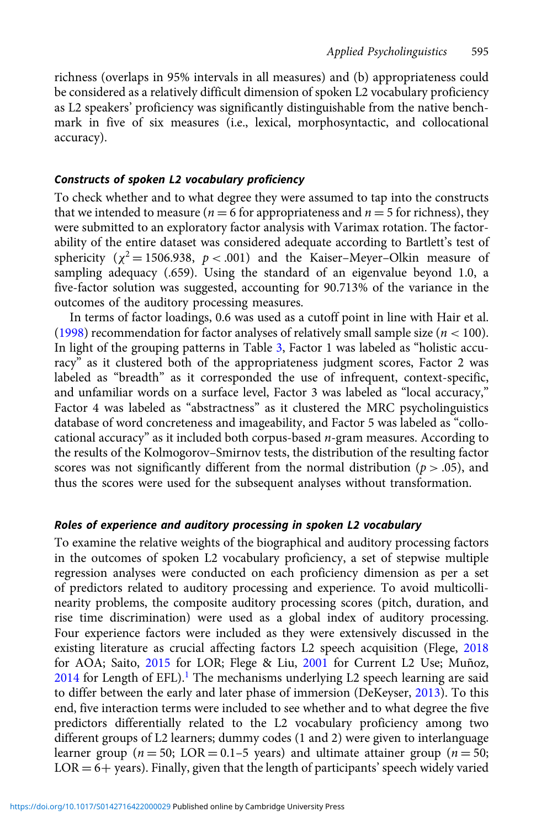richness (overlaps in 95% intervals in all measures) and (b) appropriateness could be considered as a relatively difficult dimension of spoken L2 vocabulary proficiency as L2 speakers' proficiency was significantly distinguishable from the native benchmark in five of six measures (i.e., lexical, morphosyntactic, and collocational accuracy).

# Constructs of spoken L2 vocabulary proficiency

To check whether and to what degree they were assumed to tap into the constructs that we intended to measure ( $n = 6$  for appropriateness and  $n = 5$  for richness), they were submitted to an exploratory factor analysis with Varimax rotation. The factorability of the entire dataset was considered adequate according to Bartlett's test of sphericity ( $\chi^2$  = 1506.938,  $p$  < .001) and the Kaiser–Meyer–Olkin measure of sampling adequacy (.659). Using the standard of an eigenvalue beyond 1.0, a five-factor solution was suggested, accounting for 90.713% of the variance in the outcomes of the auditory processing measures.

In terms of factor loadings, 0.6 was used as a cutoff point in line with Hair et al. [\(1998\)](#page-21-0) recommendation for factor analyses of relatively small sample size ( $n < 100$ ). In light of the grouping patterns in Table [3,](#page-15-0) Factor 1 was labeled as "holistic accuracy" as it clustered both of the appropriateness judgment scores, Factor 2 was labeled as "breadth" as it corresponded the use of infrequent, context-specific, and unfamiliar words on a surface level, Factor 3 was labeled as "local accuracy," Factor 4 was labeled as "abstractness" as it clustered the MRC psycholinguistics database of word concreteness and imageability, and Factor 5 was labeled as "collocational accuracy" as it included both corpus-based  $n$ -gram measures. According to the results of the Kolmogorov–Smirnov tests, the distribution of the resulting factor scores was not significantly different from the normal distribution ( $p > .05$ ), and thus the scores were used for the subsequent analyses without transformation.

## Roles of experience and auditory processing in spoken L2 vocabulary

To examine the relative weights of the biographical and auditory processing factors in the outcomes of spoken L2 vocabulary proficiency, a set of stepwise multiple regression analyses were conducted on each proficiency dimension as per a set of predictors related to auditory processing and experience. To avoid multicollinearity problems, the composite auditory processing scores (pitch, duration, and rise time discrimination) were used as a global index of auditory processing. Four experience factors were included as they were extensively discussed in the existing literature as crucial affecting factors L2 speech acquisition (Flege, [2018](#page-21-0) for AOA; Saito, [2015](#page-23-0) for LOR; Flege & Liu, [2001](#page-21-0) for Current L2 Use; Muñoz,  $2014$  for Length of EFL).<sup>[1](#page-19-0)</sup> The mechanisms underlying L2 speech learning are said to differ between the early and later phase of immersion (DeKeyser, [2013\)](#page-21-0). To this end, five interaction terms were included to see whether and to what degree the five predictors differentially related to the L2 vocabulary proficiency among two different groups of L2 learners; dummy codes (1 and 2) were given to interlanguage learner group ( $n = 50$ ; LOR = 0.1–5 years) and ultimate attainer group ( $n = 50$ ;  $LOR = 6 + \text{years}$ ). Finally, given that the length of participants' speech widely varied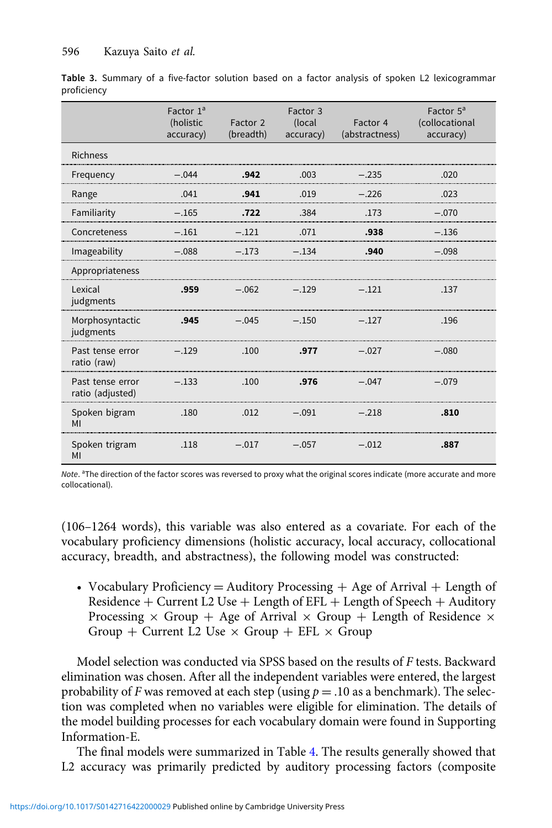|                                      | Factor $1a$<br>(holistic<br>accuracy) | Factor 2<br>(breadth) | Factor 3<br>(local<br>accuracy) | Factor 4<br>(abstractness) | Factor 5 <sup>a</sup><br>(collocational<br>accuracy) |
|--------------------------------------|---------------------------------------|-----------------------|---------------------------------|----------------------------|------------------------------------------------------|
| <b>Richness</b>                      |                                       |                       |                                 |                            |                                                      |
| Frequency                            | $-.044$                               | .942                  | .003                            | $-.235$                    | .020                                                 |
| Range                                | .041                                  | .941                  | .019                            | $-.226$                    | .023                                                 |
| Familiarity                          | $-.165$                               | .722                  | .384                            | .173                       | $-.070$                                              |
| Concreteness                         | $-.161$                               | $-.121$               | .071                            | .938                       | $-.136$                                              |
| Imageability                         | $-.088$                               | $-.173$               | $-.134$                         | .940                       | $-.098$                                              |
| Appropriateness                      |                                       |                       |                                 |                            |                                                      |
| Lexical<br>judgments                 | .959                                  | $-.062$               | $-.129$                         | $-.121$                    | .137                                                 |
| Morphosyntactic<br>judgments         | .945                                  | $-.045$               | $-.150$                         | $-.127$                    | .196                                                 |
| Past tense error<br>ratio (raw)      | $-.129$                               | .100                  | .977                            | $-.027$                    | $-.080$                                              |
| Past tense error<br>ratio (adjusted) | $-.133$                               | .100                  | .976                            | $-.047$                    | $-.079$                                              |
| Spoken bigram<br>MI                  | .180                                  | .012                  | $-.091$                         | $-.218$                    | .810                                                 |
| Spoken trigram<br>MI                 | .118                                  | $-.017$               | $-.057$                         | $-.012$                    | .887                                                 |

<span id="page-15-0"></span>Table 3. Summary of a five-factor solution based on a factor analysis of spoken L2 lexicogrammar proficiency

Note. <sup>a</sup>The direction of the factor scores was reversed to proxy what the original scores indicate (more accurate and more collocational).

(106–1264 words), this variable was also entered as a covariate. For each of the vocabulary proficiency dimensions (holistic accuracy, local accuracy, collocational accuracy, breadth, and abstractness), the following model was constructed:

• Vocabulary Proficiency  $=$  Auditory Processing  $+$  Age of Arrival  $+$  Length of Residence  $+$  Current L2 Use  $+$  Length of EFL  $+$  Length of Speech  $+$  Auditory Processing  $\times$  Group + Age of Arrival  $\times$  Group + Length of Residence  $\times$ Group + Current L2 Use  $\times$  Group + EFL  $\times$  Group

Model selection was conducted via SPSS based on the results of F tests. Backward elimination was chosen. After all the independent variables were entered, the largest probability of F was removed at each step (using  $p = .10$  as a benchmark). The selection was completed when no variables were eligible for elimination. The details of the model building processes for each vocabulary domain were found in Supporting Information-E.

The final models were summarized in Table [4.](#page-16-0) The results generally showed that L2 accuracy was primarily predicted by auditory processing factors (composite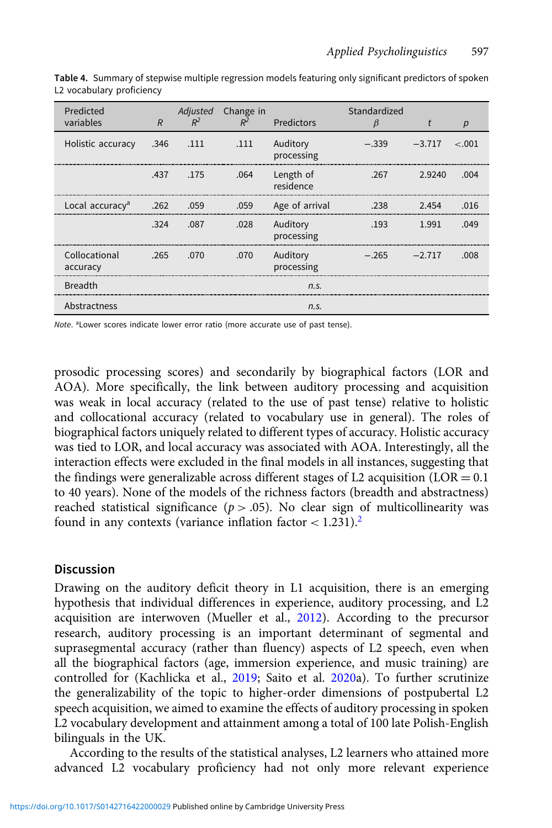| Predicted<br>variables      | R      | $R^2$     | Adjusted Change in<br>$R^2$ | Predictors             | Standardized<br>β | t        | р       |
|-----------------------------|--------|-----------|-----------------------------|------------------------|-------------------|----------|---------|
| Holistic accuracy           | .346   | .111      | .111                        | Auditory<br>processing | $-.339$           | $-3.717$ | $-.001$ |
|                             |        | .437 .175 | .064                        | Length of<br>residence | .267              | 2.9240   | .004    |
| Local accuracy <sup>a</sup> | .262   | .059      | .059                        | Age of arrival         | .238              | 2.454    | .016    |
|                             | .324   | .087      | .028                        | Auditory<br>processing | .193              | 1.991    | .049    |
| Collocational<br>accuracy   | $-265$ | .070      | .070                        | Auditory<br>processing | $-.265$ $-.217$   |          | nn      |
| <b>Breadth</b>              |        |           |                             | n.s.                   |                   |          |         |
| Abstractness                |        |           |                             | n.S.                   |                   |          |         |

<span id="page-16-0"></span>Table 4. Summary of stepwise multiple regression models featuring only significant predictors of spoken L2 vocabulary proficiency

Note. <sup>a</sup>Lower scores indicate lower error ratio (more accurate use of past tense).

prosodic processing scores) and secondarily by biographical factors (LOR and AOA). More specifically, the link between auditory processing and acquisition was weak in local accuracy (related to the use of past tense) relative to holistic and collocational accuracy (related to vocabulary use in general). The roles of biographical factors uniquely related to different types of accuracy. Holistic accuracy was tied to LOR, and local accuracy was associated with AOA. Interestingly, all the interaction effects were excluded in the final models in all instances, suggesting that the findings were generalizable across different stages of L2 acquisition  $(LOR = 0.1)$ to 40 years). None of the models of the richness factors (breadth and abstractness) reached statistical significance ( $p > .05$ ). No clear sign of multicollinearity was found in any contexts (variance inflation factor  $< 1.231$  $< 1.231$  $< 1.231$ ).<sup>2</sup>

## **Discussion**

Drawing on the auditory deficit theory in L1 acquisition, there is an emerging hypothesis that individual differences in experience, auditory processing, and L2 acquisition are interwoven (Mueller et al., [2012](#page-23-0)). According to the precursor research, auditory processing is an important determinant of segmental and suprasegmental accuracy (rather than fluency) aspects of L2 speech, even when all the biographical factors (age, immersion experience, and music training) are controlled for (Kachlicka et al., [2019](#page-22-0); Saito et al. [2020a](#page-24-0)). To further scrutinize the generalizability of the topic to higher-order dimensions of postpubertal L2 speech acquisition, we aimed to examine the effects of auditory processing in spoken L2 vocabulary development and attainment among a total of 100 late Polish-English bilinguals in the UK.

According to the results of the statistical analyses, L2 learners who attained more advanced L2 vocabulary proficiency had not only more relevant experience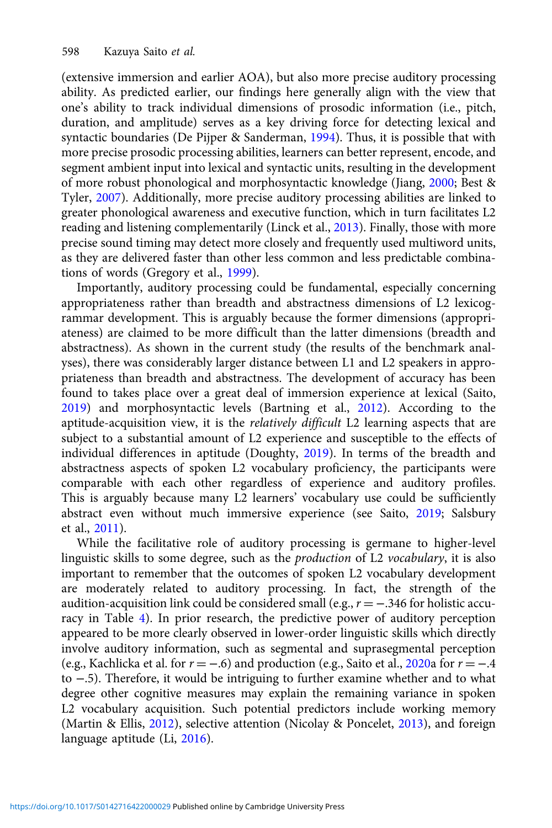(extensive immersion and earlier AOA), but also more precise auditory processing ability. As predicted earlier, our findings here generally align with the view that one's ability to track individual dimensions of prosodic information (i.e., pitch, duration, and amplitude) serves as a key driving force for detecting lexical and syntactic boundaries (De Pijper & Sanderman, [1994](#page-21-0)). Thus, it is possible that with more precise prosodic processing abilities, learners can better represent, encode, and segment ambient input into lexical and syntactic units, resulting in the development of more robust phonological and morphosyntactic knowledge (Jiang, [2000](#page-22-0); Best & Tyler, [2007\)](#page-20-0). Additionally, more precise auditory processing abilities are linked to greater phonological awareness and executive function, which in turn facilitates L2 reading and listening complementarily (Linck et al., [2013\)](#page-23-0). Finally, those with more precise sound timing may detect more closely and frequently used multiword units, as they are delivered faster than other less common and less predictable combinations of words (Gregory et al., [1999](#page-21-0)).

Importantly, auditory processing could be fundamental, especially concerning appropriateness rather than breadth and abstractness dimensions of L2 lexicogrammar development. This is arguably because the former dimensions (appropriateness) are claimed to be more difficult than the latter dimensions (breadth and abstractness). As shown in the current study (the results of the benchmark analyses), there was considerably larger distance between L1 and L2 speakers in appropriateness than breadth and abstractness. The development of accuracy has been found to takes place over a great deal of immersion experience at lexical (Saito, [2019\)](#page-23-0) and morphosyntactic levels (Bartning et al., [2012\)](#page-20-0). According to the aptitude-acquisition view, it is the *relatively difficult* L2 learning aspects that are subject to a substantial amount of L2 experience and susceptible to the effects of individual differences in aptitude (Doughty, [2019](#page-21-0)). In terms of the breadth and abstractness aspects of spoken L2 vocabulary proficiency, the participants were comparable with each other regardless of experience and auditory profiles. This is arguably because many L2 learners' vocabulary use could be sufficiently abstract even without much immersive experience (see Saito, [2019](#page-23-0); Salsbury et al., [2011](#page-24-0)).

While the facilitative role of auditory processing is germane to higher-level linguistic skills to some degree, such as the production of L2 vocabulary, it is also important to remember that the outcomes of spoken L2 vocabulary development are moderately related to auditory processing. In fact, the strength of the audition-acquisition link could be considered small (e.g.,  $r = -.346$  for holistic accuracy in Table [4\)](#page-16-0). In prior research, the predictive power of auditory perception appeared to be more clearly observed in lower-order linguistic skills which directly involve auditory information, such as segmental and suprasegmental perception (e.g., Kachlicka et al. for  $r = -.6$ ) and production (e.g., Saito et al., [2020](#page-24-0)a for  $r = -.4$ to −.5). Therefore, it would be intriguing to further examine whether and to what degree other cognitive measures may explain the remaining variance in spoken L2 vocabulary acquisition. Such potential predictors include working memory (Martin & Ellis, [2012](#page-23-0)), selective attention (Nicolay & Poncelet, [2013](#page-23-0)), and foreign language aptitude (Li, [2016](#page-23-0)).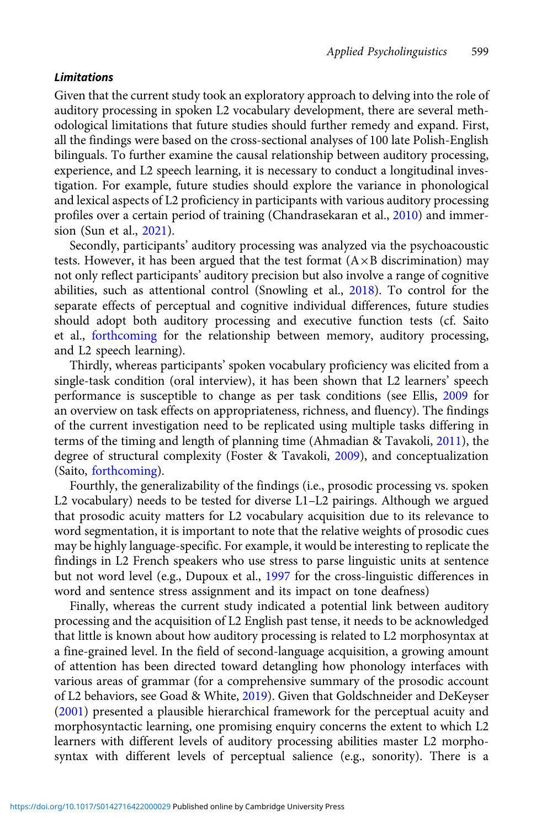#### Limitations

Given that the current study took an exploratory approach to delving into the role of auditory processing in spoken L2 vocabulary development, there are several methodological limitations that future studies should further remedy and expand. First, all the findings were based on the cross-sectional analyses of 100 late Polish-English bilinguals. To further examine the causal relationship between auditory processing, experience, and L2 speech learning, it is necessary to conduct a longitudinal investigation. For example, future studies should explore the variance in phonological and lexical aspects of L2 proficiency in participants with various auditory processing profiles over a certain period of training (Chandrasekaran et al., [2010](#page-20-0)) and immersion (Sun et al., [2021\)](#page-24-0).

Secondly, participants' auditory processing was analyzed via the psychoacoustic tests. However, it has been argued that the test format  $(A \times B)$  discrimination) may not only reflect participants' auditory precision but also involve a range of cognitive abilities, such as attentional control (Snowling et al., [2018\)](#page-24-0). To control for the separate effects of perceptual and cognitive individual differences, future studies should adopt both auditory processing and executive function tests (cf. Saito et al., [forthcoming](#page-23-0) for the relationship between memory, auditory processing, and L2 speech learning).

Thirdly, whereas participants' spoken vocabulary proficiency was elicited from a single-task condition (oral interview), it has been shown that L2 learners' speech performance is susceptible to change as per task conditions (see Ellis, [2009](#page-21-0) for an overview on task effects on appropriateness, richness, and fluency). The findings of the current investigation need to be replicated using multiple tasks differing in terms of the timing and length of planning time (Ahmadian & Tavakoli, [2011](#page-20-0)), the degree of structural complexity (Foster & Tavakoli, [2009\)](#page-21-0), and conceptualization (Saito, [forthcoming\)](#page-23-0).

Fourthly, the generalizability of the findings (i.e., prosodic processing vs. spoken L2 vocabulary) needs to be tested for diverse L1–L2 pairings. Although we argued that prosodic acuity matters for L2 vocabulary acquisition due to its relevance to word segmentation, it is important to note that the relative weights of prosodic cues may be highly language-specific. For example, it would be interesting to replicate the findings in L2 French speakers who use stress to parse linguistic units at sentence but not word level (e.g., Dupoux et al., [1997](#page-21-0) for the cross-linguistic differences in word and sentence stress assignment and its impact on tone deafness)

Finally, whereas the current study indicated a potential link between auditory processing and the acquisition of L2 English past tense, it needs to be acknowledged that little is known about how auditory processing is related to L2 morphosyntax at a fine-grained level. In the field of second-language acquisition, a growing amount of attention has been directed toward detangling how phonology interfaces with various areas of grammar (for a comprehensive summary of the prosodic account of L2 behaviors, see Goad & White, [2019](#page-21-0)). Given that Goldschneider and DeKeyser [\(2001\)](#page-21-0) presented a plausible hierarchical framework for the perceptual acuity and morphosyntactic learning, one promising enquiry concerns the extent to which L2 learners with different levels of auditory processing abilities master L2 morphosyntax with different levels of perceptual salience (e.g., sonority). There is a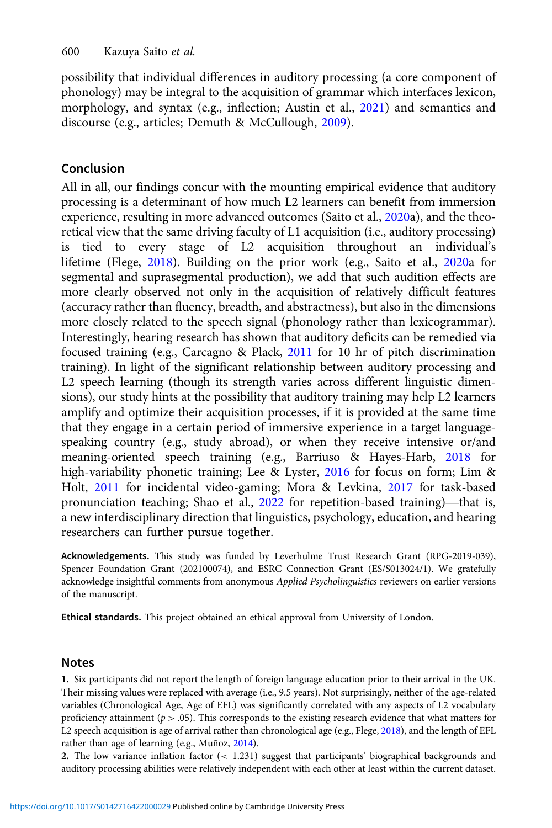<span id="page-19-0"></span>possibility that individual differences in auditory processing (a core component of phonology) may be integral to the acquisition of grammar which interfaces lexicon, morphology, and syntax (e.g., inflection; Austin et al., [2021](#page-20-0)) and semantics and discourse (e.g., articles; Demuth & McCullough, [2009](#page-21-0)).

# Conclusion

All in all, our findings concur with the mounting empirical evidence that auditory processing is a determinant of how much L2 learners can benefit from immersion experience, resulting in more advanced outcomes (Saito et al., [2020a](#page-24-0)), and the theoretical view that the same driving faculty of L1 acquisition (i.e., auditory processing) is tied to every stage of L2 acquisition throughout an individual's lifetime (Flege, [2018](#page-21-0)). Building on the prior work (e.g., Saito et al., [2020a](#page-24-0) for segmental and suprasegmental production), we add that such audition effects are more clearly observed not only in the acquisition of relatively difficult features (accuracy rather than fluency, breadth, and abstractness), but also in the dimensions more closely related to the speech signal (phonology rather than lexicogrammar). Interestingly, hearing research has shown that auditory deficits can be remedied via focused training (e.g., Carcagno & Plack, [2011](#page-20-0) for 10 hr of pitch discrimination training). In light of the significant relationship between auditory processing and L2 speech learning (though its strength varies across different linguistic dimensions), our study hints at the possibility that auditory training may help L2 learners amplify and optimize their acquisition processes, if it is provided at the same time that they engage in a certain period of immersive experience in a target languagespeaking country (e.g., study abroad), or when they receive intensive or/and meaning-oriented speech training (e.g., Barriuso & Hayes-Harb, [2018](#page-20-0) for high-variability phonetic training; Lee & Lyster, [2016](#page-23-0) for focus on form; Lim & Holt, [2011](#page-23-0) for incidental video-gaming; Mora & Levkina, [2017](#page-23-0) for task-based pronunciation teaching; Shao et al., [2022](#page-24-0) for repetition-based training)—that is, a new interdisciplinary direction that linguistics, psychology, education, and hearing researchers can further pursue together.

Acknowledgements. This study was funded by Leverhulme Trust Research Grant (RPG-2019-039), Spencer Foundation Grant (202100074), and ESRC Connection Grant (ES/S013024/1). We gratefully acknowledge insightful comments from anonymous Applied Psycholinguistics reviewers on earlier versions of the manuscript.

Ethical standards. This project obtained an ethical approval from University of London.

# Notes

1. Six participants did not report the length of foreign language education prior to their arrival in the UK. Their missing values were replaced with average (i.e., 9.5 years). Not surprisingly, neither of the age-related variables (Chronological Age, Age of EFL) was significantly correlated with any aspects of L2 vocabulary proficiency attainment ( $p > .05$ ). This corresponds to the existing research evidence that what matters for L2 speech acquisition is age of arrival rather than chronological age (e.g., Flege, [2018\)](#page-21-0), and the length of EFL rather than age of learning (e.g., Muñoz, [2014\)](#page-23-0).

2. The low variance inflation factor (< 1.231) suggest that participants' biographical backgrounds and auditory processing abilities were relatively independent with each other at least within the current dataset.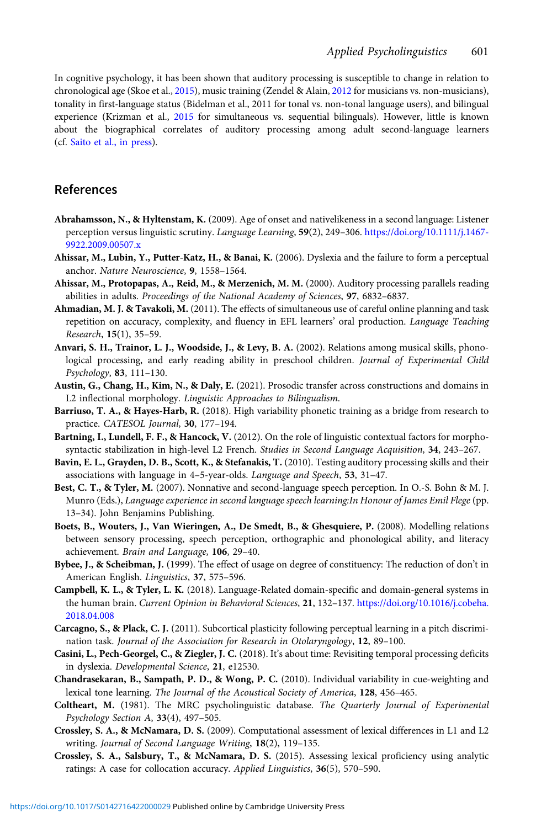<span id="page-20-0"></span>In cognitive psychology, it has been shown that auditory processing is susceptible to change in relation to chronological age (Skoe et al., [2015](#page-24-0)), music training (Zendel & Alain, [2012](#page-25-0) for musicians vs. non-musicians), tonality in first-language status (Bidelman et al., 2011 for tonal vs. non-tonal language users), and bilingual experience (Krizman et al., [2015](#page-22-0) for simultaneous vs. sequential bilinguals). However, little is known about the biographical correlates of auditory processing among adult second-language learners (cf. [Saito et al., in press\)](#page-23-0).

# References

- Abrahamsson, N., & Hyltenstam, K. (2009). Age of onset and nativelikeness in a second language: Listener perception versus linguistic scrutiny. Language Learning, 59(2), 249-306. [https://doi.org/10.1111/j.1467-](https://doi.org/10.1111/j.1467-9922.2009.00507.x) [9922.2009.00507.x](https://doi.org/10.1111/j.1467-9922.2009.00507.x)
- Ahissar, M., Lubin, Y., Putter-Katz, H., & Banai, K. (2006). Dyslexia and the failure to form a perceptual anchor. Nature Neuroscience, 9, 1558–1564.
- Ahissar, M., Protopapas, A., Reid, M., & Merzenich, M. M. (2000). Auditory processing parallels reading abilities in adults. Proceedings of the National Academy of Sciences, 97, 6832–6837.
- Ahmadian, M. J. & Tavakoli, M. (2011). The effects of simultaneous use of careful online planning and task repetition on accuracy, complexity, and fluency in EFL learners' oral production. Language Teaching Research, 15(1), 35–59.
- Anvari, S. H., Trainor, L. J., Woodside, J., & Levy, B. A. (2002). Relations among musical skills, phonological processing, and early reading ability in preschool children. Journal of Experimental Child Psychology, 83, 111–130.
- Austin, G., Chang, H., Kim, N., & Daly, E. (2021). Prosodic transfer across constructions and domains in L2 inflectional morphology. Linguistic Approaches to Bilingualism.
- Barriuso, T. A., & Hayes-Harb, R. (2018). High variability phonetic training as a bridge from research to practice. CATESOL Journal, 30, 177-194.
- Bartning, I., Lundell, F. F., & Hancock, V. (2012). On the role of linguistic contextual factors for morphosyntactic stabilization in high-level L2 French. Studies in Second Language Acquisition, 34, 243-267.
- Bavin, E. L., Grayden, D. B., Scott, K., & Stefanakis, T. (2010). Testing auditory processing skills and their associations with language in 4–5-year-olds. Language and Speech, 53, 31–47.
- Best, C. T., & Tyler, M. (2007). Nonnative and second-language speech perception. In O.-S. Bohn & M. J. Munro (Eds.), Language experience in second language speech learning:In Honour of James Emil Flege (pp. 13–34). John Benjamins Publishing.
- Boets, B., Wouters, J., Van Wieringen, A., De Smedt, B., & Ghesquiere, P. (2008). Modelling relations between sensory processing, speech perception, orthographic and phonological ability, and literacy achievement. Brain and Language, 106, 29–40.
- Bybee, J., & Scheibman, J. (1999). The effect of usage on degree of constituency: The reduction of don't in American English. Linguistics, 37, 575–596.
- Campbell, K. L., & Tyler, L. K. (2018). Language-Related domain-specific and domain-general systems in the human brain. Current Opinion in Behavioral Sciences, 21, 132-137. [https://doi.org/10.1016/j.cobeha.](https://doi.org/10.1016/j.cobeha.2018.04.008) [2018.04.008](https://doi.org/10.1016/j.cobeha.2018.04.008)
- Carcagno, S., & Plack, C. J. (2011). Subcortical plasticity following perceptual learning in a pitch discrimination task. Journal of the Association for Research in Otolaryngology, 12, 89–100.
- Casini, L., Pech-Georgel, C., & Ziegler, J. C. (2018). It's about time: Revisiting temporal processing deficits in dyslexia. Developmental Science, 21, e12530.
- Chandrasekaran, B., Sampath, P. D., & Wong, P. C. (2010). Individual variability in cue-weighting and lexical tone learning. The Journal of the Acoustical Society of America, 128, 456–465.
- Coltheart, M. (1981). The MRC psycholinguistic database. The Quarterly Journal of Experimental Psychology Section A, 33(4), 497–505.
- Crossley, S. A., & McNamara, D. S. (2009). Computational assessment of lexical differences in L1 and L2 writing. Journal of Second Language Writing, 18(2), 119–135.
- Crossley, S. A., Salsbury, T., & McNamara, D. S. (2015). Assessing lexical proficiency using analytic ratings: A case for collocation accuracy. Applied Linguistics, 36(5), 570-590.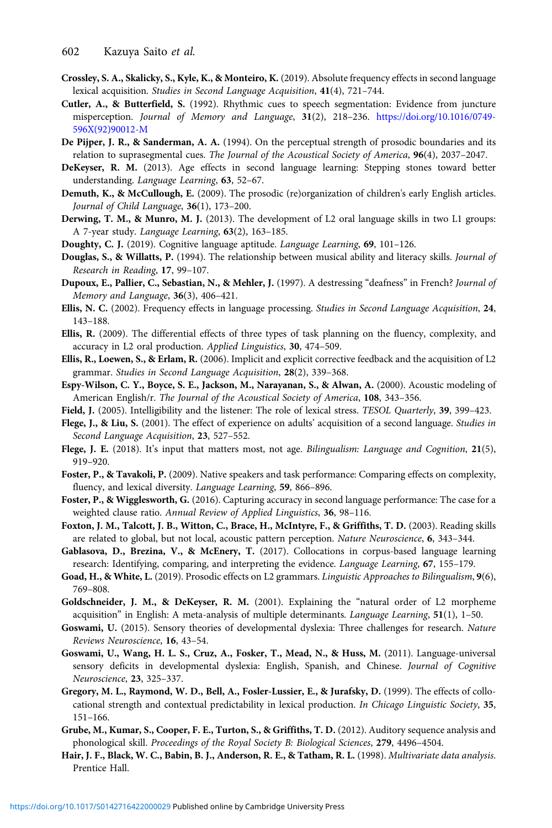- <span id="page-21-0"></span>Crossley, S. A., Skalicky, S., Kyle, K., & Monteiro, K. (2019). Absolute frequency effects in second language lexical acquisition. Studies in Second Language Acquisition, 41(4), 721–744.
- Cutler, A., & Butterfield, S. (1992). Rhythmic cues to speech segmentation: Evidence from juncture misperception. Journal of Memory and Language, 31(2), 218–236. [https://doi.org/10.1016/0749-](https://doi.org/10.1016/0749-596X(92)90012-M) [596X\(92\)90012-M](https://doi.org/10.1016/0749-596X(92)90012-M)
- De Pijper, J. R., & Sanderman, A. A. (1994). On the perceptual strength of prosodic boundaries and its relation to suprasegmental cues. The Journal of the Acoustical Society of America, 96(4), 2037-2047.
- DeKeyser, R. M. (2013). Age effects in second language learning: Stepping stones toward better understanding. Language Learning, 63, 52–67.
- Demuth, K., & McCullough, E. (2009). The prosodic (re)organization of children's early English articles. Journal of Child Language, 36(1), 173–200.
- Derwing, T. M., & Munro, M. J. (2013). The development of L2 oral language skills in two L1 groups: A 7-year study. Language Learning, 63(2), 163–185.
- Doughty, C. J. (2019). Cognitive language aptitude. Language Learning, 69, 101–126.
- Douglas, S., & Willatts, P. (1994). The relationship between musical ability and literacy skills. Journal of Research in Reading, 17, 99–107.
- Dupoux, E., Pallier, C., Sebastian, N., & Mehler, J. (1997). A destressing "deafness" in French? Journal of Memory and Language, 36(3), 406–421.
- Ellis, N. C. (2002). Frequency effects in language processing. Studies in Second Language Acquisition, 24, 143–188.
- Ellis, R. (2009). The differential effects of three types of task planning on the fluency, complexity, and accuracy in L2 oral production. Applied Linguistics, 30, 474–509.
- Ellis, R., Loewen, S., & Erlam, R. (2006). Implicit and explicit corrective feedback and the acquisition of L2 grammar. Studies in Second Language Acquisition, 28(2), 339–368.
- Espy-Wilson, C. Y., Boyce, S. E., Jackson, M., Narayanan, S., & Alwan, A. (2000). Acoustic modeling of American English/r. The Journal of the Acoustical Society of America, 108, 343–356.
- Field, J. (2005). Intelligibility and the listener: The role of lexical stress. TESOL Quarterly, 39, 399–423.
- Flege, J., & Liu, S. (2001). The effect of experience on adults' acquisition of a second language. Studies in Second Language Acquisition, 23, 527–552.
- Flege, J. E. (2018). It's input that matters most, not age. Bilingualism: Language and Cognition, 21(5), 919–920.
- Foster, P., & Tavakoli, P. (2009). Native speakers and task performance: Comparing effects on complexity, fluency, and lexical diversity. Language Learning, 59, 866–896.
- Foster, P., & Wigglesworth, G. (2016). Capturing accuracy in second language performance: The case for a weighted clause ratio. Annual Review of Applied Linguistics, 36, 98–116.
- Foxton, J. M., Talcott, J. B., Witton, C., Brace, H., McIntyre, F., & Griffiths, T. D. (2003). Reading skills are related to global, but not local, acoustic pattern perception. Nature Neuroscience, 6, 343–344.
- Gablasova, D., Brezina, V., & McEnery, T. (2017). Collocations in corpus-based language learning research: Identifying, comparing, and interpreting the evidence. Language Learning, 67, 155–179.
- Goad, H., & White, L. (2019). Prosodic effects on L2 grammars. Linguistic Approaches to Bilingualism, 9(6), 769–808.
- Goldschneider, J. M., & DeKeyser, R. M. (2001). Explaining the "natural order of L2 morpheme acquisition" in English: A meta-analysis of multiple determinants. Language Learning, 51(1), 1–50.
- Goswami, U. (2015). Sensory theories of developmental dyslexia: Three challenges for research. Nature Reviews Neuroscience, 16, 43–54.
- Goswami, U., Wang, H. L. S., Cruz, A., Fosker, T., Mead, N., & Huss, M. (2011). Language-universal sensory deficits in developmental dyslexia: English, Spanish, and Chinese. Journal of Cognitive Neuroscience, 23, 325–337.
- Gregory, M. L., Raymond, W. D., Bell, A., Fosler-Lussier, E., & Jurafsky, D. (1999). The effects of collocational strength and contextual predictability in lexical production. In Chicago Linguistic Society, 35, 151–166.
- Grube, M., Kumar, S., Cooper, F. E., Turton, S., & Griffiths, T. D. (2012). Auditory sequence analysis and phonological skill. Proceedings of the Royal Society B: Biological Sciences, 279, 4496–4504.
- Hair, J. F., Black, W. C., Babin, B. J., Anderson, R. E., & Tatham, R. L. (1998). Multivariate data analysis. Prentice Hall.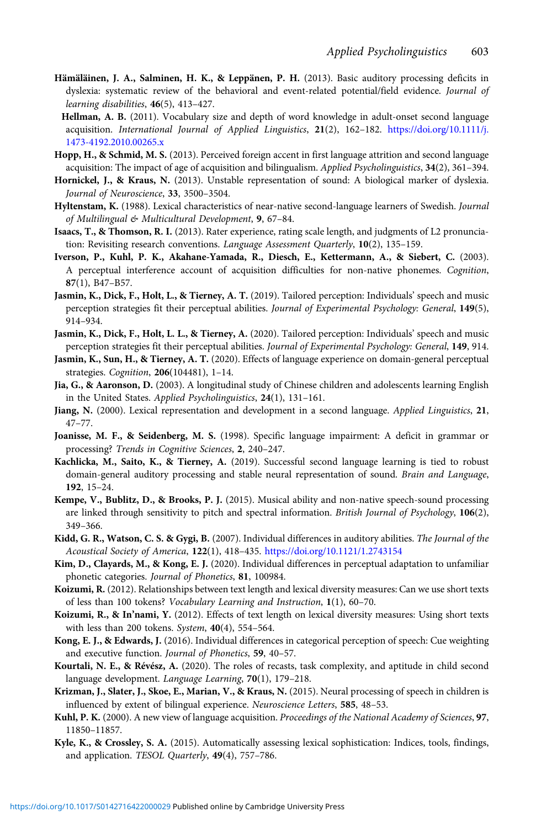- <span id="page-22-0"></span>Hämäläinen, J. A., Salminen, H. K., & Leppänen, P. H. (2013). Basic auditory processing deficits in dyslexia: systematic review of the behavioral and event-related potential/field evidence. Journal of learning disabilities, 46(5), 413–427.
- Hellman, A. B. (2011). Vocabulary size and depth of word knowledge in adult-onset second language acquisition. International Journal of Applied Linguistics, 21(2), 162–182. [https://doi.org/10.1111/j.](https://doi.org/10.1111/j.1473-4192.2010.00265.x) [1473-4192.2010.00265.x](https://doi.org/10.1111/j.1473-4192.2010.00265.x)
- Hopp, H., & Schmid, M. S. (2013). Perceived foreign accent in first language attrition and second language acquisition: The impact of age of acquisition and bilingualism. Applied Psycholinguistics, 34(2), 361–394.
- Hornickel, J., & Kraus, N. (2013). Unstable representation of sound: A biological marker of dyslexia. Journal of Neuroscience, 33, 3500–3504.
- Hyltenstam, K. (1988). Lexical characteristics of near-native second-language learners of Swedish. Journal of Multilingual & Multicultural Development, 9, 67–84.
- Isaacs, T., & Thomson, R. I. (2013). Rater experience, rating scale length, and judgments of L2 pronunciation: Revisiting research conventions. Language Assessment Quarterly, 10(2), 135–159.
- Iverson, P., Kuhl, P. K., Akahane-Yamada, R., Diesch, E., Kettermann, A., & Siebert, C. (2003). A perceptual interference account of acquisition difficulties for non-native phonemes. Cognition, 87(1), B47–B57.
- Jasmin, K., Dick, F., Holt, L., & Tierney, A. T. (2019). Tailored perception: Individuals' speech and music perception strategies fit their perceptual abilities. Journal of Experimental Psychology: General, 149(5), 914–934.
- Jasmin, K., Dick, F., Holt, L. L., & Tierney, A. (2020). Tailored perception: Individuals' speech and music perception strategies fit their perceptual abilities. Journal of Experimental Psychology: General, 149, 914.
- Jasmin, K., Sun, H., & Tierney, A. T. (2020). Effects of language experience on domain-general perceptual strategies. Cognition, 206(104481), 1–14.
- Jia, G., & Aaronson, D. (2003). A longitudinal study of Chinese children and adolescents learning English in the United States. Applied Psycholinguistics, 24(1), 131–161.
- Jiang, N. (2000). Lexical representation and development in a second language. Applied Linguistics, 21, 47–77.
- Joanisse, M. F., & Seidenberg, M. S. (1998). Specific language impairment: A deficit in grammar or processing? Trends in Cognitive Sciences, 2, 240–247.
- Kachlicka, M., Saito, K., & Tierney, A. (2019). Successful second language learning is tied to robust domain-general auditory processing and stable neural representation of sound. Brain and Language, 192, 15–24.
- Kempe, V., Bublitz, D., & Brooks, P. J. (2015). Musical ability and non-native speech-sound processing are linked through sensitivity to pitch and spectral information. British Journal of Psychology, 106(2), 349–366.
- Kidd, G. R., Watson, C. S. & Gygi, B. (2007). Individual differences in auditory abilities. The Journal of the Acoustical Society of America, 122(1), 418–435. <https://doi.org/10.1121/1.2743154>
- Kim, D., Clayards, M., & Kong, E. J. (2020). Individual differences in perceptual adaptation to unfamiliar phonetic categories. Journal of Phonetics, 81, 100984.
- Koizumi, R. (2012). Relationships between text length and lexical diversity measures: Can we use short texts of less than 100 tokens? Vocabulary Learning and Instruction, 1(1), 60–70.
- Koizumi, R., & In'nami, Y. (2012). Effects of text length on lexical diversity measures: Using short texts with less than 200 tokens. System, 40(4), 554–564.
- Kong, E. J., & Edwards, J. (2016). Individual differences in categorical perception of speech: Cue weighting and executive function. Journal of Phonetics, 59, 40–57.
- Kourtali, N. E., & Révész, A. (2020). The roles of recasts, task complexity, and aptitude in child second language development. Language Learning, 70(1), 179-218.
- Krizman, J., Slater, J., Skoe, E., Marian, V., & Kraus, N. (2015). Neural processing of speech in children is influenced by extent of bilingual experience. Neuroscience Letters, 585, 48–53.
- Kuhl, P. K. (2000). A new view of language acquisition. Proceedings of the National Academy of Sciences, 97, 11850–11857.
- Kyle, K., & Crossley, S. A. (2015). Automatically assessing lexical sophistication: Indices, tools, findings, and application. TESOL Quarterly, 49(4), 757-786.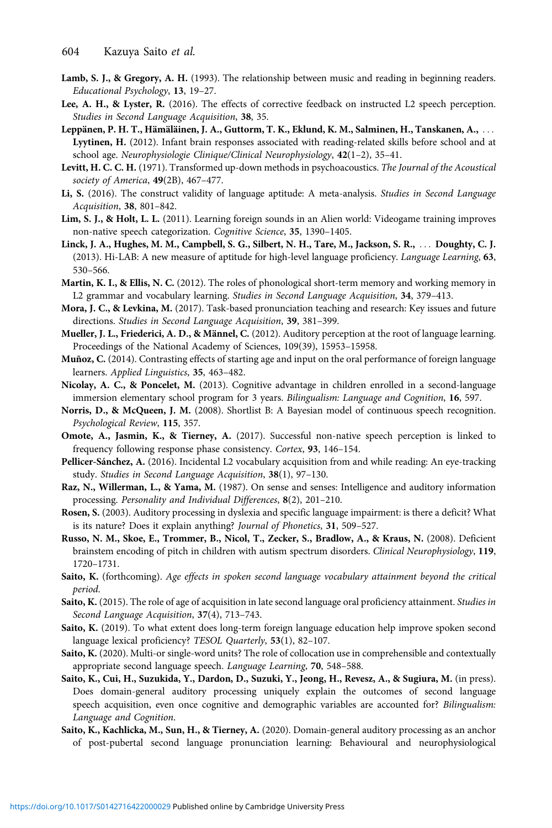- <span id="page-23-0"></span>Lamb, S. J., & Gregory, A. H. (1993). The relationship between music and reading in beginning readers. Educational Psychology, 13, 19–27.
- Lee, A. H., & Lyster, R. (2016). The effects of corrective feedback on instructed L2 speech perception. Studies in Second Language Acquisition, 38, 35.
- Leppänen, P. H. T., Hämäläinen, J. A., Guttorm, T. K., Eklund, K. M., Salminen, H., Tanskanen, A., ... Lyytinen, H. (2012). Infant brain responses associated with reading-related skills before school and at school age. Neurophysiologie Clinique/Clinical Neurophysiology, 42(1–2), 35–41.
- Levitt, H. C. C. H. (1971). Transformed up-down methods in psychoacoustics. The Journal of the Acoustical society of America, 49(2B), 467-477.
- Li, S. (2016). The construct validity of language aptitude: A meta-analysis. Studies in Second Language Acquisition, 38, 801–842.
- Lim, S. J., & Holt, L. L. (2011). Learning foreign sounds in an Alien world: Videogame training improves non-native speech categorization. Cognitive Science, 35, 1390–1405.
- Linck, J. A., Hughes, M. M., Campbell, S. G., Silbert, N. H., Tare, M., Jackson, S. R., ... Doughty, C. J. (2013). Hi-LAB: A new measure of aptitude for high-level language proficiency. Language Learning, 63, 530–566.
- Martin, K. I., & Ellis, N. C. (2012). The roles of phonological short-term memory and working memory in L2 grammar and vocabulary learning. Studies in Second Language Acquisition, 34, 379–413.
- Mora, J. C., & Levkina, M. (2017). Task-based pronunciation teaching and research: Key issues and future directions. Studies in Second Language Acquisition, 39, 381–399.
- Mueller, J. L., Friederici, A. D., & Männel, C. (2012). Auditory perception at the root of language learning. Proceedings of the National Academy of Sciences, 109(39), 15953–15958.
- Muñoz, C. (2014). Contrasting effects of starting age and input on the oral performance of foreign language learners. Applied Linguistics, 35, 463–482.
- Nicolay, A. C., & Poncelet, M. (2013). Cognitive advantage in children enrolled in a second-language immersion elementary school program for 3 years. Bilingualism: Language and Cognition, 16, 597.
- Norris, D., & McQueen, J. M. (2008). Shortlist B: A Bayesian model of continuous speech recognition. Psychological Review, 115, 357.
- Omote, A., Jasmin, K., & Tierney, A. (2017). Successful non-native speech perception is linked to frequency following response phase consistency. Cortex, 93, 146–154.
- Pellicer-Sánchez, A. (2016). Incidental L2 vocabulary acquisition from and while reading: An eye-tracking study. Studies in Second Language Acquisition, 38(1), 97–130.
- Raz, N., Willerman, L., & Yama, M. (1987). On sense and senses: Intelligence and auditory information processing. Personality and Individual Differences, 8(2), 201–210.
- Rosen, S. (2003). Auditory processing in dyslexia and specific language impairment: is there a deficit? What is its nature? Does it explain anything? Journal of Phonetics, 31, 509–527.
- Russo, N. M., Skoe, E., Trommer, B., Nicol, T., Zecker, S., Bradlow, A., & Kraus, N. (2008). Deficient brainstem encoding of pitch in children with autism spectrum disorders. Clinical Neurophysiology, 119, 1720–1731.
- Saito, K. (forthcoming). Age effects in spoken second language vocabulary attainment beyond the critical period.
- Saito, K. (2015). The role of age of acquisition in late second language oral proficiency attainment. Studies in Second Language Acquisition, 37(4), 713–743.
- Saito, K. (2019). To what extent does long-term foreign language education help improve spoken second language lexical proficiency? TESOL Quarterly, 53(1), 82–107.
- Saito, K. (2020). Multi-or single-word units? The role of collocation use in comprehensible and contextually appropriate second language speech. Language Learning, 70, 548–588.
- Saito, K., Cui, H., Suzukida, Y., Dardon, D., Suzuki, Y., Jeong, H., Revesz, A., & Sugiura, M. (in press). Does domain-general auditory processing uniquely explain the outcomes of second language speech acquisition, even once cognitive and demographic variables are accounted for? Bilingualism: Language and Cognition.
- Saito, K., Kachlicka, M., Sun, H., & Tierney, A. (2020). Domain-general auditory processing as an anchor of post-pubertal second language pronunciation learning: Behavioural and neurophysiological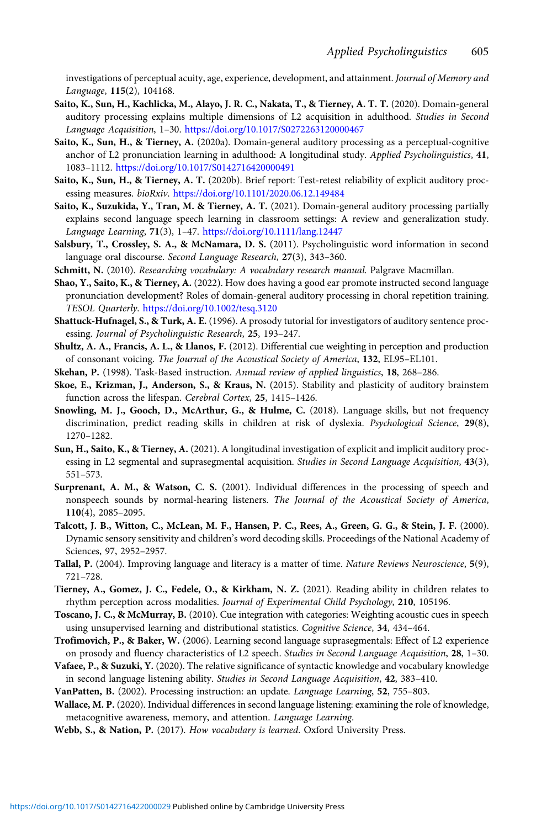<span id="page-24-0"></span>investigations of perceptual acuity, age, experience, development, and attainment. Journal of Memory and Language, 115(2), 104168.

- Saito, K., Sun, H., Kachlicka, M., Alayo, J. R. C., Nakata, T., & Tierney, A. T. T. (2020). Domain-general auditory processing explains multiple dimensions of L2 acquisition in adulthood. Studies in Second Language Acquisition, 1–30. <https://doi.org/10.1017/S0272263120000467>
- Saito, K., Sun, H., & Tierney, A. (2020a). Domain-general auditory processing as a perceptual-cognitive anchor of L2 pronunciation learning in adulthood: A longitudinal study. Applied Psycholinguistics, 41, 1083–1112. <https://doi.org/10.1017/S0142716420000491>
- Saito, K., Sun, H., & Tierney, A. T. (2020b). Brief report: Test-retest reliability of explicit auditory processing measures. bioRxiv. <https://doi.org/10.1101/2020.06.12.149484>
- Saito, K., Suzukida, Y., Tran, M. & Tierney, A. T. (2021). Domain-general auditory processing partially explains second language speech learning in classroom settings: A review and generalization study. Language Learning, 71(3), 1–47. [https://doi.org/10.1111/lang.12447]( https://doi.org/10.1111/lang.12447)
- Salsbury, T., Crossley, S. A., & McNamara, D. S. (2011). Psycholinguistic word information in second language oral discourse. Second Language Research, 27(3), 343–360.
- Schmitt, N. (2010). Researching vocabulary: A vocabulary research manual. Palgrave Macmillan.
- Shao, Y., Saito, K., & Tierney, A. (2022). How does having a good ear promote instructed second language pronunciation development? Roles of domain-general auditory processing in choral repetition training. TESOL Quarterly. <https://doi.org/10.1002/tesq.3120>
- Shattuck-Hufnagel, S., & Turk, A. E. (1996). A prosody tutorial for investigators of auditory sentence processing. Journal of Psycholinguistic Research, 25, 193–247.
- Shultz, A. A., Francis, A. L., & Llanos, F. (2012). Differential cue weighting in perception and production of consonant voicing. The Journal of the Acoustical Society of America, 132, EL95–EL101.
- Skehan, P. (1998). Task-Based instruction. Annual review of applied linguistics, 18, 268–286.
- Skoe, E., Krizman, J., Anderson, S., & Kraus, N. (2015). Stability and plasticity of auditory brainstem function across the lifespan. Cerebral Cortex, 25, 1415-1426.
- Snowling, M. J., Gooch, D., McArthur, G., & Hulme, C. (2018). Language skills, but not frequency discrimination, predict reading skills in children at risk of dyslexia. Psychological Science, 29(8), 1270–1282.
- Sun, H., Saito, K., & Tierney, A. (2021). A longitudinal investigation of explicit and implicit auditory processing in L2 segmental and suprasegmental acquisition. Studies in Second Language Acquisition, 43(3), 551–573.
- Surprenant, A. M., & Watson, C. S. (2001). Individual differences in the processing of speech and nonspeech sounds by normal-hearing listeners. The Journal of the Acoustical Society of America, 110(4), 2085–2095.
- Talcott, J. B., Witton, C., McLean, M. F., Hansen, P. C., Rees, A., Green, G. G., & Stein, J. F. (2000). Dynamic sensory sensitivity and children's word decoding skills. Proceedings of the National Academy of Sciences, 97, 2952–2957.
- Tallal, P. (2004). Improving language and literacy is a matter of time. Nature Reviews Neuroscience, 5(9), 721–728.
- Tierney, A., Gomez, J. C., Fedele, O., & Kirkham, N. Z. (2021). Reading ability in children relates to rhythm perception across modalities. Journal of Experimental Child Psychology, 210, 105196.
- Toscano, J. C., & McMurray, B. (2010). Cue integration with categories: Weighting acoustic cues in speech using unsupervised learning and distributional statistics. Cognitive Science, 34, 434-464.
- Trofimovich, P., & Baker, W. (2006). Learning second language suprasegmentals: Effect of L2 experience on prosody and fluency characteristics of L2 speech. Studies in Second Language Acquisition, 28, 1–30.
- Vafaee, P., & Suzuki, Y. (2020). The relative significance of syntactic knowledge and vocabulary knowledge in second language listening ability. Studies in Second Language Acquisition, 42, 383-410.
- VanPatten, B. (2002). Processing instruction: an update. Language Learning, 52, 755–803.
- Wallace, M. P. (2020). Individual differences in second language listening: examining the role of knowledge, metacognitive awareness, memory, and attention. Language Learning.
- Webb, S., & Nation, P. (2017). How vocabulary is learned. Oxford University Press.